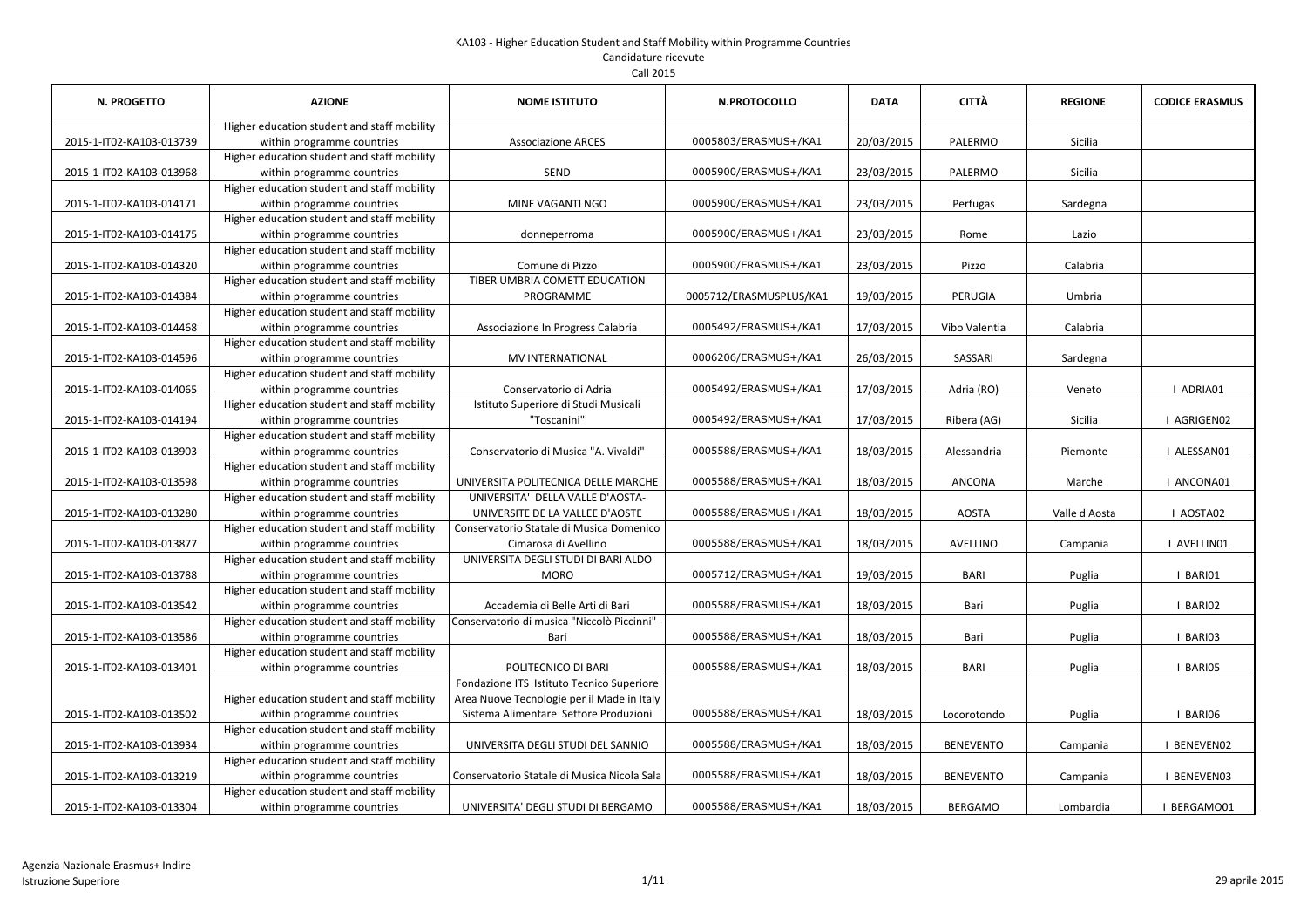| <b>N. PROGETTO</b>       | <b>AZIONE</b>                               | <b>NOME ISTITUTO</b>                        | N.PROTOCOLLO            | <b>DATA</b> | <b>CITTÀ</b>     | <b>REGIONE</b> | <b>CODICE ERASMUS</b> |
|--------------------------|---------------------------------------------|---------------------------------------------|-------------------------|-------------|------------------|----------------|-----------------------|
|                          | Higher education student and staff mobility |                                             |                         |             |                  |                |                       |
| 2015-1-IT02-KA103-013739 | within programme countries                  | <b>Associazione ARCES</b>                   | 0005803/ERASMUS+/KA1    | 20/03/2015  | PALERMO          | Sicilia        |                       |
|                          | Higher education student and staff mobility |                                             |                         |             |                  |                |                       |
| 2015-1-IT02-KA103-013968 | within programme countries                  | <b>SEND</b>                                 | 0005900/ERASMUS+/KA1    | 23/03/2015  | PALERMO          | Sicilia        |                       |
|                          | Higher education student and staff mobility |                                             |                         |             |                  |                |                       |
| 2015-1-IT02-KA103-014171 | within programme countries                  | MINE VAGANTI NGO                            | 0005900/ERASMUS+/KA1    | 23/03/2015  | Perfugas         | Sardegna       |                       |
|                          | Higher education student and staff mobility |                                             |                         |             |                  |                |                       |
| 2015-1-IT02-KA103-014175 | within programme countries                  | donneperroma                                | 0005900/ERASMUS+/KA1    | 23/03/2015  | Rome             | Lazio          |                       |
|                          | Higher education student and staff mobility |                                             |                         |             |                  |                |                       |
| 2015-1-IT02-KA103-014320 | within programme countries                  | Comune di Pizzo                             | 0005900/ERASMUS+/KA1    | 23/03/2015  | Pizzo            | Calabria       |                       |
|                          | Higher education student and staff mobility | TIBER UMBRIA COMETT EDUCATION               |                         |             |                  |                |                       |
| 2015-1-IT02-KA103-014384 | within programme countries                  | PROGRAMME                                   | 0005712/ERASMUSPLUS/KA1 | 19/03/2015  | PERUGIA          | Umbria         |                       |
|                          | Higher education student and staff mobility |                                             |                         |             |                  |                |                       |
| 2015-1-IT02-KA103-014468 | within programme countries                  | Associazione In Progress Calabria           | 0005492/ERASMUS+/KA1    | 17/03/2015  | Vibo Valentia    | Calabria       |                       |
|                          | Higher education student and staff mobility |                                             |                         |             |                  |                |                       |
| 2015-1-IT02-KA103-014596 | within programme countries                  | MV INTERNATIONAL                            | 0006206/ERASMUS+/KA1    | 26/03/2015  | SASSARI          | Sardegna       |                       |
|                          | Higher education student and staff mobility |                                             |                         |             |                  |                |                       |
| 2015-1-IT02-KA103-014065 | within programme countries                  | Conservatorio di Adria                      | 0005492/ERASMUS+/KA1    | 17/03/2015  | Adria (RO)       | Veneto         | I ADRIA01             |
|                          | Higher education student and staff mobility | Istituto Superiore di Studi Musicali        |                         |             |                  |                |                       |
| 2015-1-IT02-KA103-014194 | within programme countries                  | "Toscanini"                                 | 0005492/ERASMUS+/KA1    | 17/03/2015  | Ribera (AG)      | Sicilia        | AGRIGEN02             |
|                          | Higher education student and staff mobility |                                             |                         |             |                  |                |                       |
| 2015-1-IT02-KA103-013903 | within programme countries                  | Conservatorio di Musica "A. Vivaldi"        | 0005588/ERASMUS+/KA1    | 18/03/2015  | Alessandria      | Piemonte       | I ALESSAN01           |
|                          | Higher education student and staff mobility |                                             |                         |             |                  |                |                       |
| 2015-1-IT02-KA103-013598 | within programme countries                  | UNIVERSITA POLITECNICA DELLE MARCHE         | 0005588/ERASMUS+/KA1    | 18/03/2015  | ANCONA           | Marche         | I ANCONA01            |
|                          | Higher education student and staff mobility | UNIVERSITA' DELLA VALLE D'AOSTA-            |                         |             |                  |                |                       |
| 2015-1-IT02-KA103-013280 | within programme countries                  | UNIVERSITE DE LA VALLEE D'AOSTE             | 0005588/ERASMUS+/KA1    | 18/03/2015  | <b>AOSTA</b>     | Valle d'Aosta  | I AOSTA02             |
|                          | Higher education student and staff mobility | Conservatorio Statale di Musica Domenico    |                         |             |                  |                |                       |
| 2015-1-IT02-KA103-013877 | within programme countries                  | Cimarosa di Avellino                        | 0005588/ERASMUS+/KA1    | 18/03/2015  | <b>AVELLINO</b>  | Campania       | I AVELLINO1           |
|                          | Higher education student and staff mobility | UNIVERSITA DEGLI STUDI DI BARI ALDO         |                         |             |                  |                |                       |
| 2015-1-IT02-KA103-013788 | within programme countries                  | <b>MORO</b>                                 | 0005712/ERASMUS+/KA1    | 19/03/2015  | <b>BARI</b>      | Puglia         | I BARIO1              |
|                          | Higher education student and staff mobility |                                             |                         |             |                  |                |                       |
| 2015-1-IT02-KA103-013542 | within programme countries                  | Accademia di Belle Arti di Bari             | 0005588/ERASMUS+/KA1    | 18/03/2015  | Bari             | Puglia         | I BARIO2              |
|                          | Higher education student and staff mobility | Conservatorio di musica "Niccolò Piccinni"  |                         |             |                  |                |                       |
| 2015-1-IT02-KA103-013586 | within programme countries                  | Bari                                        | 0005588/ERASMUS+/KA1    | 18/03/2015  | Bari             | Puglia         | I BARIO3              |
|                          | Higher education student and staff mobility |                                             |                         |             |                  |                |                       |
| 2015-1-IT02-KA103-013401 | within programme countries                  | POLITECNICO DI BARI                         | 0005588/ERASMUS+/KA1    | 18/03/2015  | <b>BARI</b>      | Puglia         | I BARIO5              |
|                          |                                             | Fondazione ITS Istituto Tecnico Superiore   |                         |             |                  |                |                       |
|                          | Higher education student and staff mobility | Area Nuove Tecnologie per il Made in Italy  |                         |             |                  |                |                       |
| 2015-1-IT02-KA103-013502 | within programme countries                  | Sistema Alimentare Settore Produzioni       | 0005588/ERASMUS+/KA1    | 18/03/2015  | Locorotondo      | Puglia         | I BARIO6              |
|                          | Higher education student and staff mobility |                                             |                         |             |                  |                |                       |
| 2015-1-IT02-KA103-013934 | within programme countries                  | UNIVERSITA DEGLI STUDI DEL SANNIO           | 0005588/ERASMUS+/KA1    | 18/03/2015  | <b>BENEVENTO</b> | Campania       | I BENEVENO2           |
|                          | Higher education student and staff mobility |                                             |                         |             |                  |                |                       |
| 2015-1-IT02-KA103-013219 | within programme countries                  | Conservatorio Statale di Musica Nicola Sala | 0005588/ERASMUS+/KA1    | 18/03/2015  | <b>BENEVENTO</b> | Campania       | <b>BENEVEN03</b>      |
|                          | Higher education student and staff mobility |                                             |                         |             |                  |                |                       |
| 2015-1-IT02-KA103-013304 | within programme countries                  | UNIVERSITA' DEGLI STUDI DI BERGAMO          | 0005588/ERASMUS+/KA1    | 18/03/2015  | <b>BERGAMO</b>   | Lombardia      | I BERGAMO01           |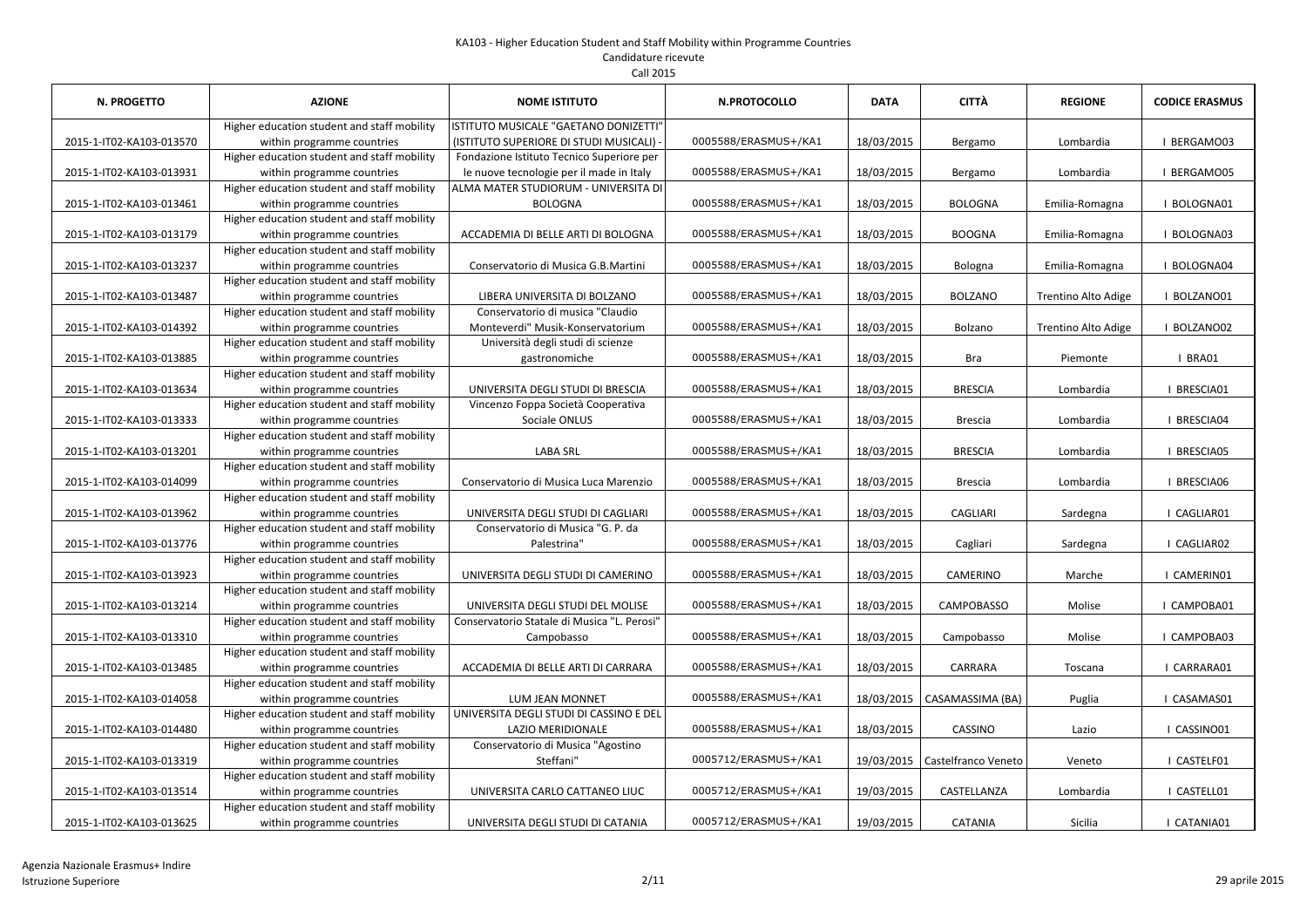| <b>N. PROGETTO</b>       | <b>AZIONE</b>                               | <b>NOME ISTITUTO</b>                        | <b>N.PROTOCOLLO</b>  | <b>DATA</b> | CITTÀ               | <b>REGIONE</b>      | <b>CODICE ERASMUS</b> |
|--------------------------|---------------------------------------------|---------------------------------------------|----------------------|-------------|---------------------|---------------------|-----------------------|
|                          | Higher education student and staff mobility | ISTITUTO MUSICALE "GAETANO DONIZETTI"       |                      |             |                     |                     |                       |
| 2015-1-IT02-KA103-013570 | within programme countries                  | (ISTITUTO SUPERIORE DI STUDI MUSICALI)      | 0005588/ERASMUS+/KA1 | 18/03/2015  | Bergamo             | Lombardia           | BERGAMO03             |
|                          | Higher education student and staff mobility | Fondazione Istituto Tecnico Superiore per   |                      |             |                     |                     |                       |
| 2015-1-IT02-KA103-013931 | within programme countries                  | le nuove tecnologie per il made in Italy    | 0005588/ERASMUS+/KA1 | 18/03/2015  | Bergamo             | Lombardia           | BERGAMO05             |
|                          | Higher education student and staff mobility | ALMA MATER STUDIORUM - UNIVERSITA DI        |                      |             |                     |                     |                       |
| 2015-1-IT02-KA103-013461 | within programme countries                  | <b>BOLOGNA</b>                              | 0005588/ERASMUS+/KA1 | 18/03/2015  | <b>BOLOGNA</b>      | Emilia-Romagna      | BOLOGNA01             |
|                          | Higher education student and staff mobility |                                             |                      |             |                     |                     |                       |
| 2015-1-IT02-KA103-013179 | within programme countries                  | ACCADEMIA DI BELLE ARTI DI BOLOGNA          | 0005588/ERASMUS+/KA1 | 18/03/2015  | <b>BOOGNA</b>       | Emilia-Romagna      | BOLOGNA03             |
|                          | Higher education student and staff mobility |                                             |                      |             |                     |                     |                       |
| 2015-1-IT02-KA103-013237 | within programme countries                  | Conservatorio di Musica G.B.Martini         | 0005588/ERASMUS+/KA1 | 18/03/2015  | Bologna             | Emilia-Romagna      | BOLOGNA04             |
|                          | Higher education student and staff mobility |                                             |                      |             |                     |                     |                       |
| 2015-1-IT02-KA103-013487 | within programme countries                  | LIBERA UNIVERSITA DI BOLZANO                | 0005588/ERASMUS+/KA1 | 18/03/2015  | <b>BOLZANO</b>      | Trentino Alto Adige | BOLZANO01             |
|                          | Higher education student and staff mobility | Conservatorio di musica "Claudio            |                      |             |                     |                     |                       |
| 2015-1-IT02-KA103-014392 | within programme countries                  | Monteverdi" Musik-Konservatorium            | 0005588/ERASMUS+/KA1 | 18/03/2015  | Bolzano             | Trentino Alto Adige | BOLZANO02             |
|                          | Higher education student and staff mobility | Università degli studi di scienze           |                      |             |                     |                     |                       |
| 2015-1-IT02-KA103-013885 | within programme countries                  | gastronomiche                               | 0005588/ERASMUS+/KA1 | 18/03/2015  | <b>Bra</b>          | Piemonte            | I BRA01               |
|                          | Higher education student and staff mobility |                                             |                      |             |                     |                     |                       |
| 2015-1-IT02-KA103-013634 | within programme countries                  | UNIVERSITA DEGLI STUDI DI BRESCIA           | 0005588/ERASMUS+/KA1 | 18/03/2015  | <b>BRESCIA</b>      | Lombardia           | I BRESCIA01           |
|                          | Higher education student and staff mobility | Vincenzo Foppa Società Cooperativa          |                      |             |                     |                     |                       |
| 2015-1-IT02-KA103-013333 | within programme countries                  | Sociale ONLUS                               | 0005588/ERASMUS+/KA1 | 18/03/2015  | <b>Brescia</b>      | Lombardia           | I BRESCIA04           |
|                          | Higher education student and staff mobility |                                             |                      |             |                     |                     |                       |
| 2015-1-IT02-KA103-013201 | within programme countries                  | <b>LABA SRL</b>                             | 0005588/ERASMUS+/KA1 | 18/03/2015  | <b>BRESCIA</b>      | Lombardia           | I BRESCIA05           |
|                          | Higher education student and staff mobility |                                             |                      |             |                     |                     |                       |
| 2015-1-IT02-KA103-014099 | within programme countries                  | Conservatorio di Musica Luca Marenzio       | 0005588/ERASMUS+/KA1 | 18/03/2015  | <b>Brescia</b>      | Lombardia           | <b>I BRESCIA06</b>    |
|                          | Higher education student and staff mobility |                                             |                      |             |                     |                     |                       |
| 2015-1-IT02-KA103-013962 | within programme countries                  | UNIVERSITA DEGLI STUDI DI CAGLIARI          | 0005588/ERASMUS+/KA1 | 18/03/2015  | CAGLIARI            | Sardegna            | I CAGLIAR01           |
|                          | Higher education student and staff mobility | Conservatorio di Musica "G. P. da           |                      |             |                     |                     |                       |
| 2015-1-IT02-KA103-013776 | within programme countries                  | Palestrina"                                 | 0005588/ERASMUS+/KA1 | 18/03/2015  | Cagliari            | Sardegna            | I CAGLIAR02           |
|                          | Higher education student and staff mobility |                                             |                      |             |                     |                     |                       |
| 2015-1-IT02-KA103-013923 | within programme countries                  | UNIVERSITA DEGLI STUDI DI CAMERINO          | 0005588/ERASMUS+/KA1 | 18/03/2015  | <b>CAMERINO</b>     | Marche              | <b>CAMERIN01</b>      |
|                          | Higher education student and staff mobility |                                             |                      |             |                     |                     |                       |
| 2015-1-IT02-KA103-013214 | within programme countries                  | UNIVERSITA DEGLI STUDI DEL MOLISE           | 0005588/ERASMUS+/KA1 | 18/03/2015  | <b>CAMPOBASSO</b>   | Molise              | CAMPOBA01             |
|                          | Higher education student and staff mobility | Conservatorio Statale di Musica "L. Perosi" |                      |             |                     |                     |                       |
| 2015-1-IT02-KA103-013310 | within programme countries                  | Campobasso                                  | 0005588/ERASMUS+/KA1 | 18/03/2015  | Campobasso          | Molise              | CAMPOBA03             |
|                          | Higher education student and staff mobility |                                             |                      |             |                     |                     |                       |
| 2015-1-IT02-KA103-013485 | within programme countries                  | ACCADEMIA DI BELLE ARTI DI CARRARA          | 0005588/ERASMUS+/KA1 | 18/03/2015  | CARRARA             | Toscana             | CARRARA01             |
|                          | Higher education student and staff mobility |                                             |                      |             |                     |                     |                       |
| 2015-1-IT02-KA103-014058 | within programme countries                  | LUM JEAN MONNET                             | 0005588/ERASMUS+/KA1 | 18/03/2015  | CASAMASSIMA (BA)    | Puglia              | CASAMAS01             |
|                          | Higher education student and staff mobility | UNIVERSITA DEGLI STUDI DI CASSINO E DEL     |                      |             |                     |                     |                       |
| 2015-1-IT02-KA103-014480 | within programme countries                  | LAZIO MERIDIONALE                           | 0005588/ERASMUS+/KA1 | 18/03/2015  | CASSINO             | Lazio               | I CASSINO01           |
|                          | Higher education student and staff mobility | Conservatorio di Musica "Agostino           |                      |             |                     |                     |                       |
| 2015-1-IT02-KA103-013319 | within programme countries                  | Steffani"                                   | 0005712/ERASMUS+/KA1 | 19/03/2015  | Castelfranco Veneto | Veneto              | I CASTELF01           |
|                          | Higher education student and staff mobility |                                             |                      |             |                     |                     |                       |
| 2015-1-IT02-KA103-013514 | within programme countries                  | UNIVERSITA CARLO CATTANEO LIUC              | 0005712/ERASMUS+/KA1 | 19/03/2015  | CASTELLANZA         | Lombardia           | I CASTELL01           |
|                          | Higher education student and staff mobility |                                             |                      |             |                     |                     |                       |
| 2015-1-IT02-KA103-013625 | within programme countries                  | UNIVERSITA DEGLI STUDI DI CATANIA           | 0005712/ERASMUS+/KA1 | 19/03/2015  | <b>CATANIA</b>      | Sicilia             | CATANIA01             |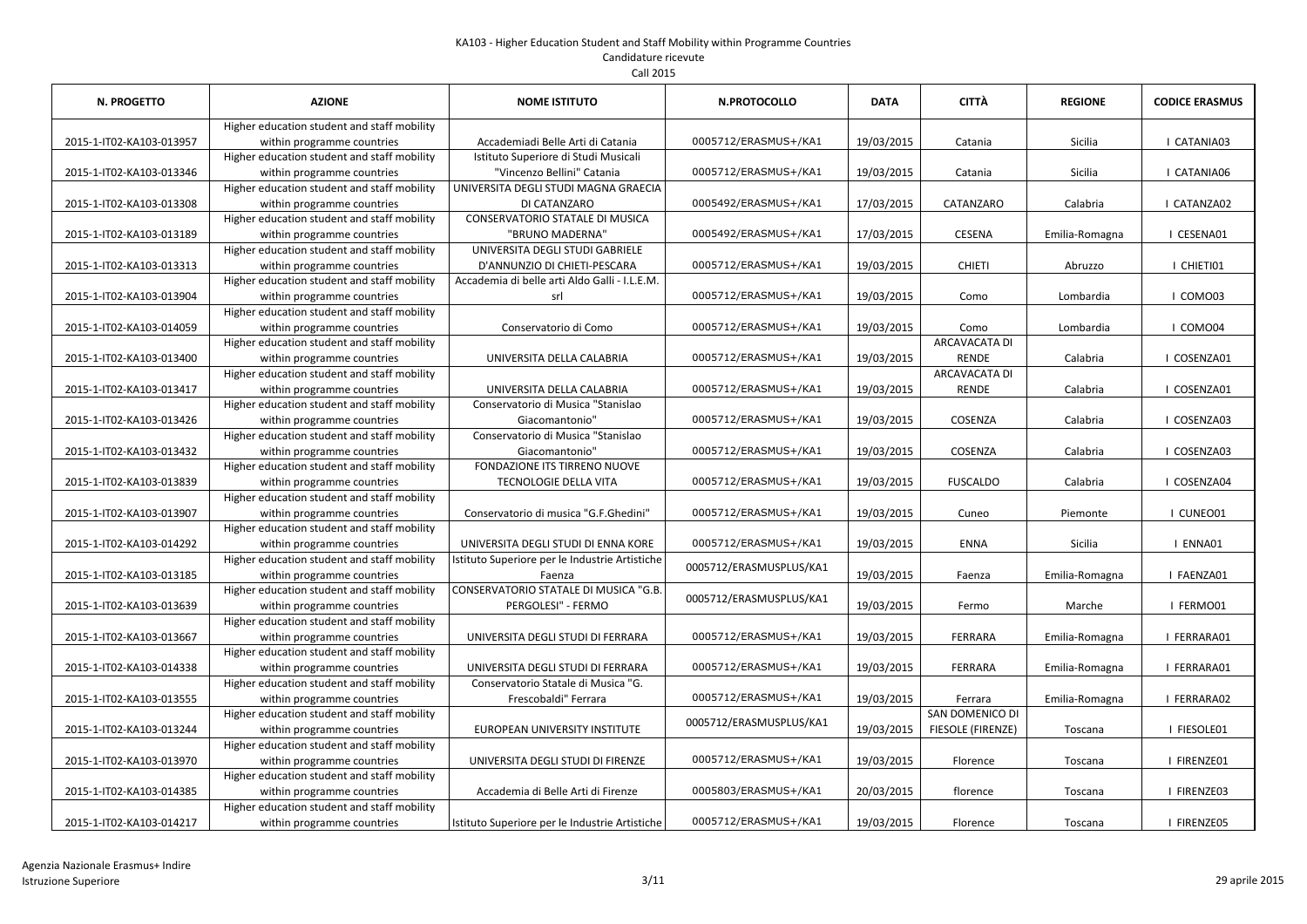| N. PROGETTO              | <b>AZIONE</b>                                                                                                            | <b>NOME ISTITUTO</b>                                                                  | <b>N.PROTOCOLLO</b>     | <b>DATA</b> | <b>CITTÀ</b>                  | <b>REGIONE</b> | <b>CODICE ERASMUS</b> |
|--------------------------|--------------------------------------------------------------------------------------------------------------------------|---------------------------------------------------------------------------------------|-------------------------|-------------|-------------------------------|----------------|-----------------------|
| 2015-1-IT02-KA103-013957 | Higher education student and staff mobility<br>within programme countries                                                | Accademiadi Belle Arti di Catania                                                     | 0005712/ERASMUS+/KA1    | 19/03/2015  | Catania                       | Sicilia        | CATANIA03             |
| 2015-1-IT02-KA103-013346 | Higher education student and staff mobility<br>within programme countries                                                | Istituto Superiore di Studi Musicali<br>"Vincenzo Bellini" Catania                    | 0005712/ERASMUS+/KA1    | 19/03/2015  | Catania                       | Sicilia        | CATANIA06             |
| 2015-1-IT02-KA103-013308 | Higher education student and staff mobility<br>within programme countries                                                | UNIVERSITA DEGLI STUDI MAGNA GRAECIA<br>DI CATANZARO                                  | 0005492/ERASMUS+/KA1    | 17/03/2015  | CATANZARO                     | Calabria       | CATANZA02             |
| 2015-1-IT02-KA103-013189 | Higher education student and staff mobility<br>within programme countries                                                | <b>CONSERVATORIO STATALE DI MUSICA</b><br>"BRUNO MADERNA"                             | 0005492/ERASMUS+/KA1    | 17/03/2015  | <b>CESENA</b>                 | Emilia-Romagna | I CESENA01            |
| 2015-1-IT02-KA103-013313 | Higher education student and staff mobility<br>within programme countries                                                | UNIVERSITA DEGLI STUDI GABRIELE<br>D'ANNUNZIO DI CHIETI-PESCARA                       | 0005712/ERASMUS+/KA1    | 19/03/2015  | <b>CHIETI</b>                 | Abruzzo        | I CHIETI01            |
| 2015-1-IT02-KA103-013904 | Higher education student and staff mobility<br>within programme countries                                                | Accademia di belle arti Aldo Galli - I.L.E.M.<br>srl                                  | 0005712/ERASMUS+/KA1    | 19/03/2015  | Como                          | Lombardia      | I COMO03              |
| 2015-1-IT02-KA103-014059 | Higher education student and staff mobility<br>within programme countries                                                | Conservatorio di Como                                                                 | 0005712/ERASMUS+/KA1    | 19/03/2015  | Como                          | Lombardia      | I COMO04              |
| 2015-1-IT02-KA103-013400 | Higher education student and staff mobility<br>within programme countries                                                | UNIVERSITA DELLA CALABRIA                                                             | 0005712/ERASMUS+/KA1    | 19/03/2015  | ARCAVACATA DI<br><b>RENDE</b> | Calabria       | COSENZA01             |
| 2015-1-IT02-KA103-013417 | Higher education student and staff mobility<br>within programme countries                                                | UNIVERSITA DELLA CALABRIA                                                             | 0005712/ERASMUS+/KA1    | 19/03/2015  | ARCAVACATA DI<br><b>RENDE</b> | Calabria       | COSENZA01             |
| 2015-1-IT02-KA103-013426 | Higher education student and staff mobility<br>within programme countries                                                | Conservatorio di Musica "Stanislao<br>Giacomantonio"                                  | 0005712/ERASMUS+/KA1    | 19/03/2015  | COSENZA                       | Calabria       | COSENZA03             |
| 2015-1-IT02-KA103-013432 | Higher education student and staff mobility<br>within programme countries                                                | Conservatorio di Musica "Stanislao<br>Giacomantonio"                                  | 0005712/ERASMUS+/KA1    | 19/03/2015  | COSENZA                       | Calabria       | COSENZA03             |
| 2015-1-IT02-KA103-013839 | Higher education student and staff mobility<br>within programme countries                                                | FONDAZIONE ITS TIRRENO NUOVE<br><b>TECNOLOGIE DELLA VITA</b>                          | 0005712/ERASMUS+/KA1    | 19/03/2015  | <b>FUSCALDO</b>               | Calabria       | COSENZA04             |
| 2015-1-IT02-KA103-013907 | Higher education student and staff mobility<br>within programme countries<br>Higher education student and staff mobility | Conservatorio di musica "G.F.Ghedini"                                                 | 0005712/ERASMUS+/KA1    | 19/03/2015  | Cuneo                         | Piemonte       | I CUNEO01             |
| 2015-1-IT02-KA103-014292 | within programme countries<br>Higher education student and staff mobility                                                | UNIVERSITA DEGLI STUDI DI ENNA KORE<br>Istituto Superiore per le Industrie Artistiche | 0005712/ERASMUS+/KA1    | 19/03/2015  | <b>ENNA</b>                   | Sicilia        | I ENNA01              |
| 2015-1-IT02-KA103-013185 | within programme countries<br>Higher education student and staff mobility                                                | Faenza<br>CONSERVATORIO STATALE DI MUSICA "G.B.                                       | 0005712/ERASMUSPLUS/KA1 | 19/03/2015  | Faenza                        | Emilia-Romagna | I FAENZA01            |
| 2015-1-IT02-KA103-013639 | within programme countries<br>Higher education student and staff mobility                                                | PERGOLESI" - FERMO                                                                    | 0005712/ERASMUSPLUS/KA1 | 19/03/2015  | Fermo                         | Marche         | I FERMO01             |
| 2015-1-IT02-KA103-013667 | within programme countries<br>Higher education student and staff mobility                                                | UNIVERSITA DEGLI STUDI DI FERRARA                                                     | 0005712/ERASMUS+/KA1    | 19/03/2015  | FERRARA                       | Emilia-Romagna | FERRARA01             |
| 2015-1-IT02-KA103-014338 | within programme countries<br>Higher education student and staff mobility                                                | UNIVERSITA DEGLI STUDI DI FERRARA<br>Conservatorio Statale di Musica "G.              | 0005712/ERASMUS+/KA1    | 19/03/2015  | FERRARA                       | Emilia-Romagna | I FERRARA01           |
| 2015-1-IT02-KA103-013555 | within programme countries<br>Higher education student and staff mobility                                                | Frescobaldi" Ferrara                                                                  | 0005712/ERASMUS+/KA1    | 19/03/2015  | Ferrara<br>SAN DOMENICO DI    | Emilia-Romagna | FERRARA02             |
| 2015-1-IT02-KA103-013244 | within programme countries<br>Higher education student and staff mobility                                                | EUROPEAN UNIVERSITY INSTITUTE                                                         | 0005712/ERASMUSPLUS/KA1 | 19/03/2015  | FIESOLE (FIRENZE)             | Toscana        | I FIESOLE01           |
| 2015-1-IT02-KA103-013970 | within programme countries                                                                                               | UNIVERSITA DEGLI STUDI DI FIRENZE                                                     | 0005712/ERASMUS+/KA1    | 19/03/2015  | Florence                      | Toscana        | I FIRENZE01           |
| 2015-1-IT02-KA103-014385 | Higher education student and staff mobility<br>within programme countries                                                | Accademia di Belle Arti di Firenze                                                    | 0005803/ERASMUS+/KA1    | 20/03/2015  | florence                      | Toscana        | I FIRENZE03           |
| 2015-1-IT02-KA103-014217 | Higher education student and staff mobility<br>within programme countries                                                | Istituto Superiore per le Industrie Artistiche                                        | 0005712/ERASMUS+/KA1    | 19/03/2015  | Florence                      | Toscana        | I FIRENZE05           |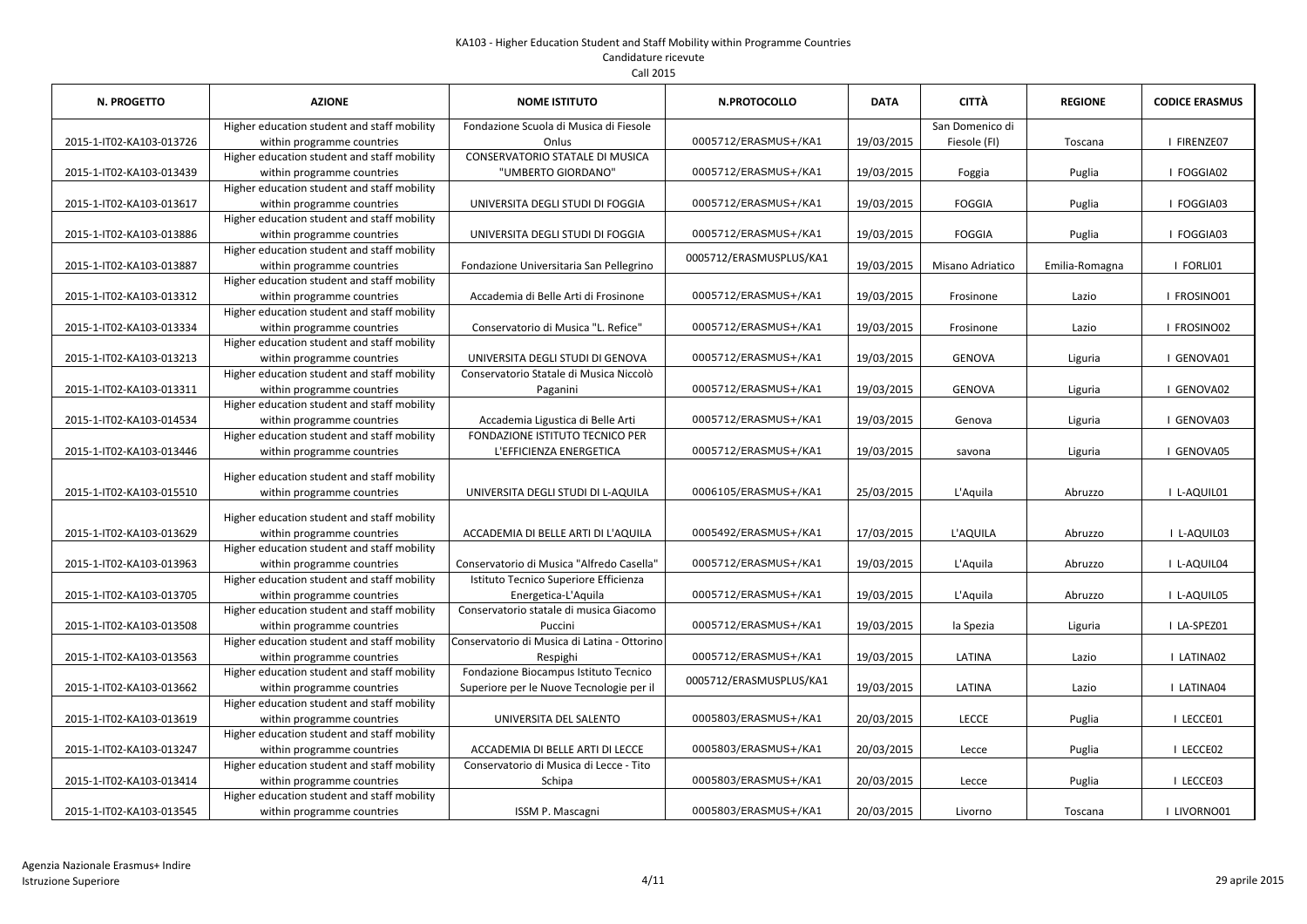| <b>N. PROGETTO</b>       | <b>AZIONE</b>                               | <b>NOME ISTITUTO</b>                         | N.PROTOCOLLO            | <b>DATA</b> | CITTÀ            | <b>REGIONE</b> | <b>CODICE ERASMUS</b> |
|--------------------------|---------------------------------------------|----------------------------------------------|-------------------------|-------------|------------------|----------------|-----------------------|
|                          | Higher education student and staff mobility | Fondazione Scuola di Musica di Fiesole       |                         |             | San Domenico di  |                |                       |
| 2015-1-IT02-KA103-013726 | within programme countries                  | Onlus                                        | 0005712/ERASMUS+/KA1    | 19/03/2015  | Fiesole (FI)     | Toscana        | I FIRENZE07           |
|                          | Higher education student and staff mobility | <b>CONSERVATORIO STATALE DI MUSICA</b>       |                         |             |                  |                |                       |
| 2015-1-IT02-KA103-013439 | within programme countries                  | "UMBERTO GIORDANO"                           | 0005712/ERASMUS+/KA1    | 19/03/2015  | Foggia           | Puglia         | I FOGGIA02            |
|                          | Higher education student and staff mobility |                                              |                         |             |                  |                |                       |
| 2015-1-IT02-KA103-013617 | within programme countries                  | UNIVERSITA DEGLI STUDI DI FOGGIA             | 0005712/ERASMUS+/KA1    | 19/03/2015  | <b>FOGGIA</b>    | Puglia         | I FOGGIA03            |
|                          | Higher education student and staff mobility |                                              |                         |             |                  |                |                       |
| 2015-1-IT02-KA103-013886 | within programme countries                  | UNIVERSITA DEGLI STUDI DI FOGGIA             | 0005712/ERASMUS+/KA1    | 19/03/2015  | <b>FOGGIA</b>    | Puglia         | I FOGGIA03            |
|                          | Higher education student and staff mobility |                                              | 0005712/ERASMUSPLUS/KA1 |             |                  |                |                       |
| 2015-1-IT02-KA103-013887 | within programme countries                  | Fondazione Universitaria San Pellegrino      |                         | 19/03/2015  | Misano Adriatico | Emilia-Romagna | I FORLI01             |
|                          | Higher education student and staff mobility |                                              |                         |             |                  |                |                       |
| 2015-1-IT02-KA103-013312 | within programme countries                  | Accademia di Belle Arti di Frosinone         | 0005712/ERASMUS+/KA1    | 19/03/2015  | Frosinone        | Lazio          | I FROSINO01           |
|                          | Higher education student and staff mobility |                                              |                         |             |                  |                |                       |
| 2015-1-IT02-KA103-013334 | within programme countries                  | Conservatorio di Musica "L. Refice"          | 0005712/ERASMUS+/KA1    | 19/03/2015  | Frosinone        | Lazio          | FROSINO02             |
|                          | Higher education student and staff mobility |                                              |                         |             |                  |                |                       |
| 2015-1-IT02-KA103-013213 | within programme countries                  | UNIVERSITA DEGLI STUDI DI GENOVA             | 0005712/ERASMUS+/KA1    | 19/03/2015  | <b>GENOVA</b>    | Liguria        | I GENOVA01            |
|                          | Higher education student and staff mobility | Conservatorio Statale di Musica Niccolò      |                         |             |                  |                |                       |
| 2015-1-IT02-KA103-013311 | within programme countries                  | Paganini                                     | 0005712/ERASMUS+/KA1    | 19/03/2015  | <b>GENOVA</b>    | Liguria        | I GENOVA02            |
|                          | Higher education student and staff mobility |                                              |                         |             |                  |                |                       |
| 2015-1-IT02-KA103-014534 | within programme countries                  | Accademia Ligustica di Belle Arti            | 0005712/ERASMUS+/KA1    | 19/03/2015  | Genova           | Liguria        | I GENOVA03            |
|                          | Higher education student and staff mobility | FONDAZIONE ISTITUTO TECNICO PER              |                         |             |                  |                |                       |
| 2015-1-IT02-KA103-013446 | within programme countries                  | L'EFFICIENZA ENERGETICA                      | 0005712/ERASMUS+/KA1    | 19/03/2015  | savona           | Liguria        | I GENOVA05            |
|                          | Higher education student and staff mobility |                                              |                         |             |                  |                |                       |
| 2015-1-IT02-KA103-015510 | within programme countries                  | UNIVERSITA DEGLI STUDI DI L-AQUILA           | 0006105/ERASMUS+/KA1    | 25/03/2015  | L'Aquila         | Abruzzo        | I L-AQUIL01           |
|                          |                                             |                                              |                         |             |                  |                |                       |
|                          | Higher education student and staff mobility |                                              |                         |             |                  |                |                       |
| 2015-1-IT02-KA103-013629 | within programme countries                  | ACCADEMIA DI BELLE ARTI DI L'AQUILA          | 0005492/ERASMUS+/KA1    | 17/03/2015  | L'AQUILA         | Abruzzo        | I L-AQUIL03           |
|                          | Higher education student and staff mobility |                                              |                         |             |                  |                |                       |
| 2015-1-IT02-KA103-013963 | within programme countries                  | Conservatorio di Musica "Alfredo Casella"    | 0005712/ERASMUS+/KA1    | 19/03/2015  | L'Aquila         | Abruzzo        | I L-AQUIL04           |
|                          | Higher education student and staff mobility | Istituto Tecnico Superiore Efficienza        |                         |             |                  |                |                       |
| 2015-1-IT02-KA103-013705 | within programme countries                  | Energetica-L'Aquila                          | 0005712/ERASMUS+/KA1    | 19/03/2015  | L'Aquila         | Abruzzo        | I L-AQUIL05           |
|                          | Higher education student and staff mobility | Conservatorio statale di musica Giacomo      |                         |             |                  |                |                       |
| 2015-1-IT02-KA103-013508 | within programme countries                  | Puccini                                      | 0005712/ERASMUS+/KA1    | 19/03/2015  | la Spezia        | Liguria        | I LA-SPEZ01           |
|                          | Higher education student and staff mobility | Conservatorio di Musica di Latina - Ottorino |                         |             |                  |                |                       |
| 2015-1-IT02-KA103-013563 | within programme countries                  | Respighi                                     | 0005712/ERASMUS+/KA1    | 19/03/2015  | LATINA           | Lazio          | I LATINA02            |
|                          | Higher education student and staff mobility | Fondazione Biocampus Istituto Tecnico        | 0005712/ERASMUSPLUS/KA1 |             |                  |                |                       |
| 2015-1-IT02-KA103-013662 | within programme countries                  | Superiore per le Nuove Tecnologie per il     |                         | 19/03/2015  | LATINA           | Lazio          | I LATINA04            |
|                          | Higher education student and staff mobility |                                              |                         |             |                  |                |                       |
| 2015-1-IT02-KA103-013619 | within programme countries                  | UNIVERSITA DEL SALENTO                       | 0005803/ERASMUS+/KA1    | 20/03/2015  | <b>LECCE</b>     | Puglia         | I LECCE01             |
|                          | Higher education student and staff mobility |                                              |                         |             |                  |                |                       |
| 2015-1-IT02-KA103-013247 | within programme countries                  | ACCADEMIA DI BELLE ARTI DI LECCE             | 0005803/ERASMUS+/KA1    | 20/03/2015  | Lecce            | Puglia         | I LECCE02             |
|                          | Higher education student and staff mobility | Conservatorio di Musica di Lecce - Tito      |                         |             |                  |                |                       |
| 2015-1-IT02-KA103-013414 | within programme countries                  | Schipa                                       | 0005803/ERASMUS+/KA1    | 20/03/2015  | Lecce            | Puglia         | I LECCE03             |
|                          | Higher education student and staff mobility |                                              |                         |             |                  |                |                       |
| 2015-1-IT02-KA103-013545 | within programme countries                  | ISSM P. Mascagni                             | 0005803/ERASMUS+/KA1    | 20/03/2015  | Livorno          | Toscana        | I LIVORNO01           |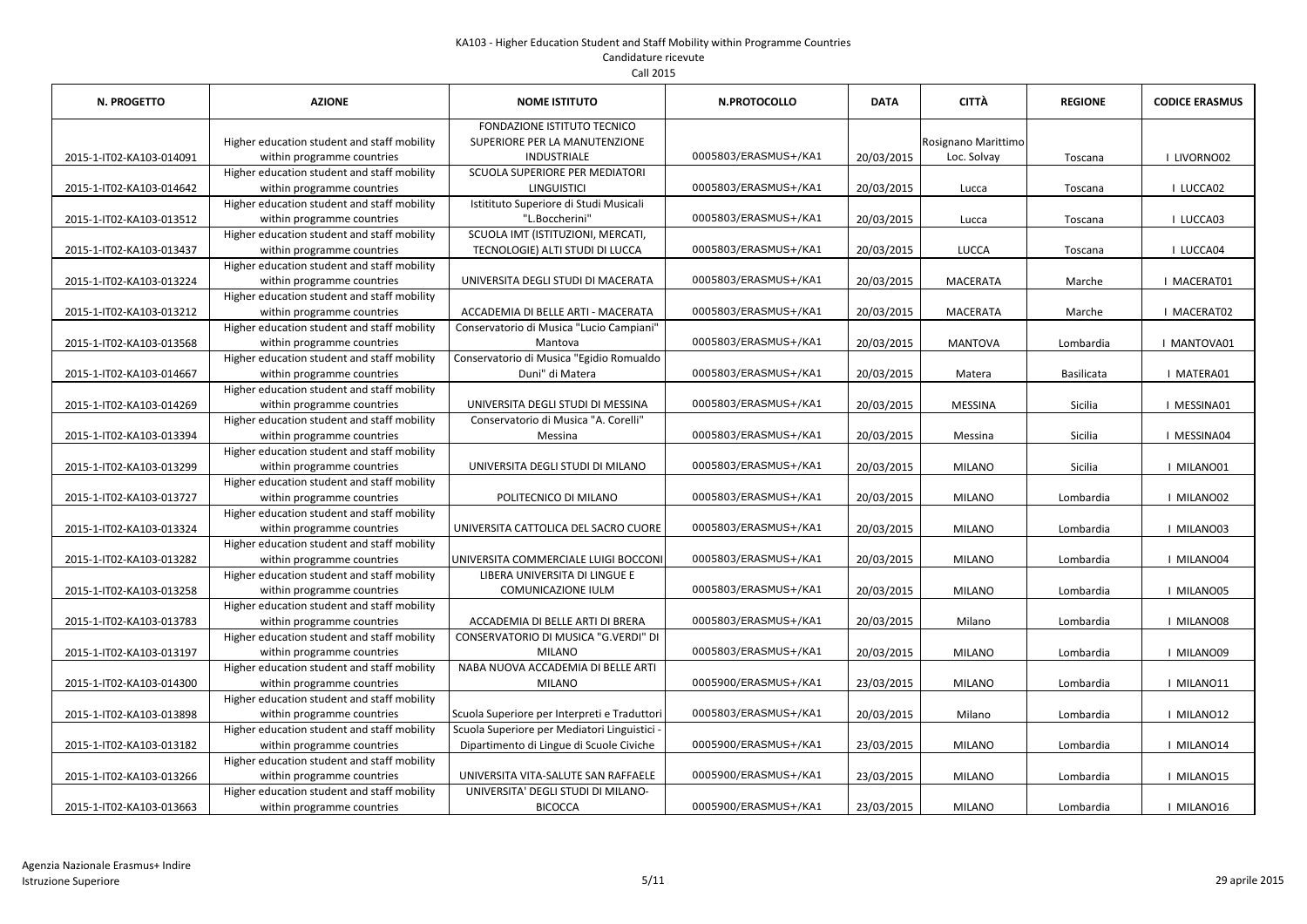| Call 2015                |                                                                           |                                                     |                      |             |                     |                |                       |  |
|--------------------------|---------------------------------------------------------------------------|-----------------------------------------------------|----------------------|-------------|---------------------|----------------|-----------------------|--|
| <b>N. PROGETTO</b>       | <b>AZIONE</b>                                                             | <b>NOME ISTITUTO</b>                                | N.PROTOCOLLO         | <b>DATA</b> | CITTÀ               | <b>REGIONE</b> | <b>CODICE ERASMUS</b> |  |
|                          |                                                                           | <b>FONDAZIONE ISTITUTO TECNICO</b>                  |                      |             |                     |                |                       |  |
|                          | Higher education student and staff mobility                               | SUPERIORE PER LA MANUTENZIONE                       |                      |             | Rosignano Marittimo |                |                       |  |
| 2015-1-IT02-KA103-014091 | within programme countries                                                | INDUSTRIALE                                         | 0005803/ERASMUS+/KA1 | 20/03/2015  | Loc. Solvay         | Toscana        | I LIVORNO02           |  |
|                          | Higher education student and staff mobility                               | <b>SCUOLA SUPERIORE PER MEDIATORI</b>               |                      |             |                     |                |                       |  |
| 2015-1-IT02-KA103-014642 | within programme countries                                                | <b>LINGUISTICI</b>                                  | 0005803/ERASMUS+/KA1 | 20/03/2015  | Lucca               | Toscana        | I LUCCA02             |  |
|                          | Higher education student and staff mobility                               | Istitituto Superiore di Studi Musicali              |                      |             |                     |                |                       |  |
| 2015-1-IT02-KA103-013512 | within programme countries                                                | "L.Boccherini"                                      | 0005803/ERASMUS+/KA1 | 20/03/2015  | Lucca               | Toscana        | I LUCCA03             |  |
|                          | Higher education student and staff mobility                               | SCUOLA IMT (ISTITUZIONI, MERCATI,                   |                      |             |                     |                |                       |  |
| 2015-1-IT02-KA103-013437 | within programme countries                                                | TECNOLOGIE) ALTI STUDI DI LUCCA                     | 0005803/ERASMUS+/KA1 | 20/03/2015  | <b>LUCCA</b>        | Toscana        | I LUCCA04             |  |
|                          | Higher education student and staff mobility                               |                                                     |                      |             |                     |                |                       |  |
| 2015-1-IT02-KA103-013224 | within programme countries                                                | UNIVERSITA DEGLI STUDI DI MACERATA                  | 0005803/ERASMUS+/KA1 | 20/03/2015  | <b>MACERATA</b>     | Marche         | I MACERAT01           |  |
|                          | Higher education student and staff mobility                               |                                                     |                      |             |                     |                |                       |  |
| 2015-1-IT02-KA103-013212 | within programme countries<br>Higher education student and staff mobility | ACCADEMIA DI BELLE ARTI - MACERATA                  | 0005803/ERASMUS+/KA1 | 20/03/2015  | <b>MACERATA</b>     | Marche         | I MACERAT02           |  |
| 2015-1-IT02-KA103-013568 | within programme countries                                                | Conservatorio di Musica "Lucio Campiani"<br>Mantova | 0005803/ERASMUS+/KA1 | 20/03/2015  | <b>MANTOVA</b>      | Lombardia      | I MANTOVA01           |  |
|                          | Higher education student and staff mobility                               | Conservatorio di Musica "Egidio Romualdo            |                      |             |                     |                |                       |  |
| 2015-1-IT02-KA103-014667 | within programme countries                                                | Duni" di Matera                                     | 0005803/ERASMUS+/KA1 | 20/03/2015  | Matera              | Basilicata     | I MATERA01            |  |
|                          | Higher education student and staff mobility                               |                                                     |                      |             |                     |                |                       |  |
| 2015-1-IT02-KA103-014269 | within programme countries                                                | UNIVERSITA DEGLI STUDI DI MESSINA                   | 0005803/ERASMUS+/KA1 | 20/03/2015  | <b>MESSINA</b>      | Sicilia        | I MESSINA01           |  |
|                          | Higher education student and staff mobility                               | Conservatorio di Musica "A. Corelli"                |                      |             |                     |                |                       |  |
| 2015-1-IT02-KA103-013394 | within programme countries                                                | Messina                                             | 0005803/ERASMUS+/KA1 | 20/03/2015  | Messina             | Sicilia        | I MESSINA04           |  |
|                          | Higher education student and staff mobility                               |                                                     |                      |             |                     |                |                       |  |
| 2015-1-IT02-KA103-013299 | within programme countries                                                | UNIVERSITA DEGLI STUDI DI MILANO                    | 0005803/ERASMUS+/KA1 | 20/03/2015  | <b>MILANO</b>       | Sicilia        | I MILANO01            |  |
|                          | Higher education student and staff mobility                               |                                                     |                      |             |                     |                |                       |  |
| 2015-1-IT02-KA103-013727 | within programme countries                                                | POLITECNICO DI MILANO                               | 0005803/ERASMUS+/KA1 | 20/03/2015  | <b>MILANO</b>       | Lombardia      | I MILANO02            |  |
|                          | Higher education student and staff mobility                               |                                                     |                      |             |                     |                |                       |  |
| 2015-1-IT02-KA103-013324 | within programme countries                                                | UNIVERSITA CATTOLICA DEL SACRO CUORE                | 0005803/ERASMUS+/KA1 | 20/03/2015  | <b>MILANO</b>       | Lombardia      | I MILANO03            |  |
|                          | Higher education student and staff mobility                               |                                                     |                      |             |                     |                |                       |  |
| 2015-1-IT02-KA103-013282 | within programme countries                                                | UNIVERSITA COMMERCIALE LUIGI BOCCONI                | 0005803/ERASMUS+/KA1 | 20/03/2015  | <b>MILANO</b>       | Lombardia      | I MILANO04            |  |
|                          | Higher education student and staff mobility                               | LIBERA UNIVERSITA DI LINGUE E                       |                      |             |                     |                |                       |  |
| 2015-1-IT02-KA103-013258 | within programme countries                                                | COMUNICAZIONE IULM                                  | 0005803/ERASMUS+/KA1 | 20/03/2015  | <b>MILANO</b>       | Lombardia      | I MILANO05            |  |
|                          | Higher education student and staff mobility                               |                                                     |                      |             |                     |                |                       |  |
| 2015-1-IT02-KA103-013783 | within programme countries                                                | ACCADEMIA DI BELLE ARTI DI BRERA                    | 0005803/ERASMUS+/KA1 | 20/03/2015  | Milano              | Lombardia      | I MILANO08            |  |
|                          | Higher education student and staff mobility                               | <b>CONSERVATORIO DI MUSICA "G.VERDI" DI</b>         |                      |             |                     |                |                       |  |
| 2015-1-IT02-KA103-013197 | within programme countries                                                | <b>MILANO</b><br>NABA NUOVA ACCADEMIA DI BELLE ARTI | 0005803/ERASMUS+/KA1 | 20/03/2015  | <b>MILANO</b>       | Lombardia      | I MILANO09            |  |
| 2015-1-IT02-KA103-014300 | Higher education student and staff mobility<br>within programme countries | <b>MILANO</b>                                       | 0005900/ERASMUS+/KA1 | 23/03/2015  | <b>MILANO</b>       | Lombardia      | I MILANO11            |  |
|                          | Higher education student and staff mobility                               |                                                     |                      |             |                     |                |                       |  |
| 2015-1-IT02-KA103-013898 | within programme countries                                                | Scuola Superiore per Interpreti e Traduttori        | 0005803/ERASMUS+/KA1 | 20/03/2015  | Milano              | Lombardia      | I MILANO12            |  |
|                          | Higher education student and staff mobility                               | Scuola Superiore per Mediatori Linguistici -        |                      |             |                     |                |                       |  |
| 2015-1-IT02-KA103-013182 | within programme countries                                                | Dipartimento di Lingue di Scuole Civiche            | 0005900/ERASMUS+/KA1 | 23/03/2015  | <b>MILANO</b>       | Lombardia      | I MILANO14            |  |
|                          | Higher education student and staff mobility                               |                                                     |                      |             |                     |                |                       |  |
| 2015-1-IT02-KA103-013266 | within programme countries                                                | UNIVERSITA VITA-SALUTE SAN RAFFAELE                 | 0005900/ERASMUS+/KA1 | 23/03/2015  | <b>MILANO</b>       | Lombardia      | I MILANO15            |  |
|                          | Higher education student and staff mobility                               | UNIVERSITA' DEGLI STUDI DI MILANO-                  |                      |             |                     |                |                       |  |
| 2015-1-IT02-KA103-013663 | within programme countries                                                | <b>BICOCCA</b>                                      | 0005900/ERASMUS+/KA1 | 23/03/2015  | <b>MILANO</b>       | Lombardia      | I MILANO16            |  |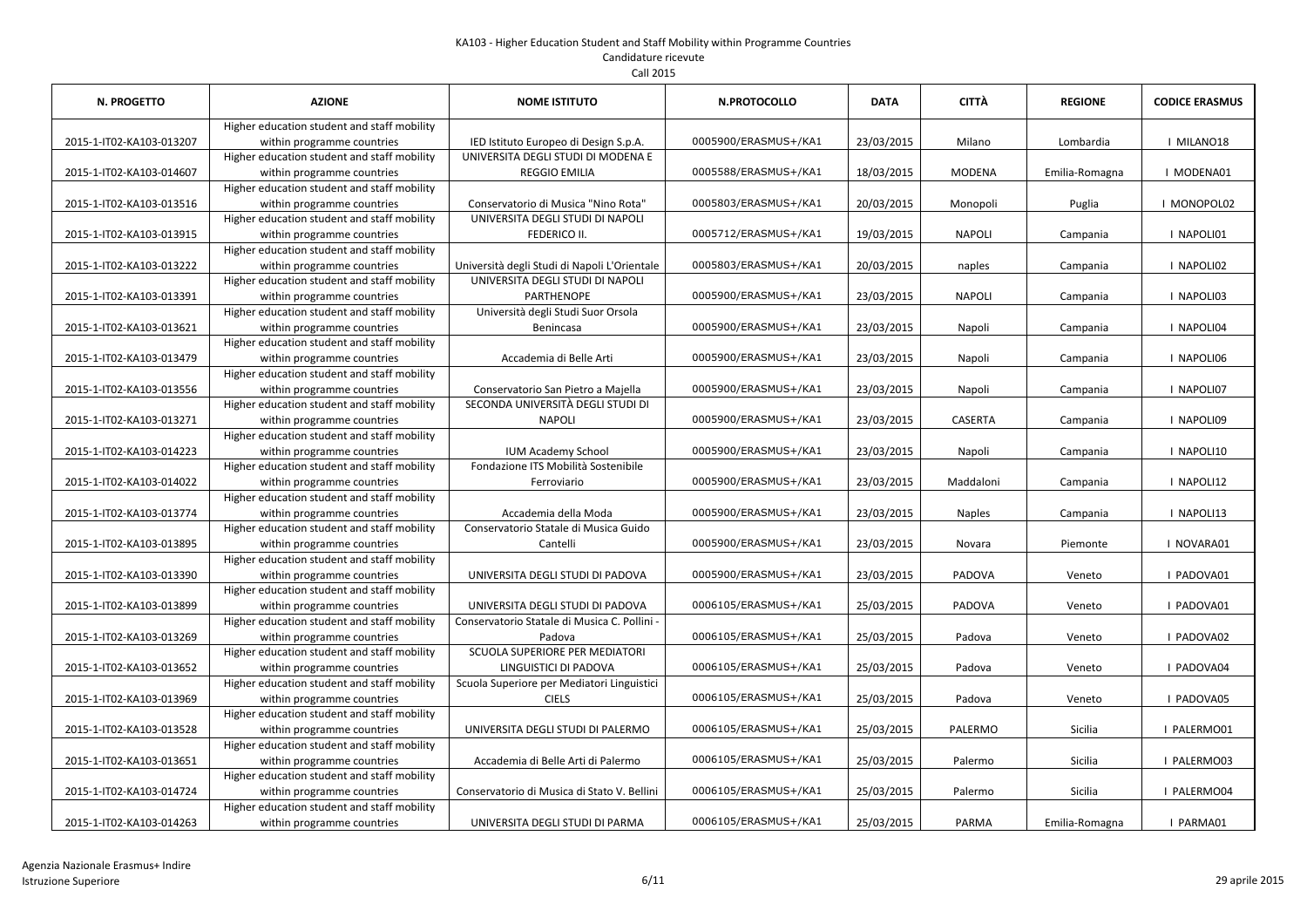| N. PROGETTO              | <b>AZIONE</b>                                                             | <b>NOME ISTITUTO</b>                                           | <b>N.PROTOCOLLO</b>  | <b>DATA</b> | <b>CITTÀ</b>   | <b>REGIONE</b> | <b>CODICE ERASMUS</b> |
|--------------------------|---------------------------------------------------------------------------|----------------------------------------------------------------|----------------------|-------------|----------------|----------------|-----------------------|
| 2015-1-IT02-KA103-013207 | Higher education student and staff mobility<br>within programme countries | IED Istituto Europeo di Design S.p.A.                          | 0005900/ERASMUS+/KA1 | 23/03/2015  | Milano         | Lombardia      | I MILANO18            |
| 2015-1-IT02-KA103-014607 | Higher education student and staff mobility<br>within programme countries | UNIVERSITA DEGLI STUDI DI MODENA E<br><b>REGGIO EMILIA</b>     | 0005588/ERASMUS+/KA1 | 18/03/2015  | <b>MODENA</b>  | Emilia-Romagna | I MODENA01            |
| 2015-1-IT02-KA103-013516 | Higher education student and staff mobility<br>within programme countries | Conservatorio di Musica "Nino Rota"                            | 0005803/ERASMUS+/KA1 | 20/03/2015  | Monopoli       | Puglia         | I MONOPOL02           |
| 2015-1-IT02-KA103-013915 | Higher education student and staff mobility<br>within programme countries | UNIVERSITA DEGLI STUDI DI NAPOLI<br>FEDERICO II.               | 0005712/ERASMUS+/KA1 | 19/03/2015  | <b>NAPOLI</b>  | Campania       | I NAPOLI01            |
| 2015-1-IT02-KA103-013222 | Higher education student and staff mobility<br>within programme countries | Università degli Studi di Napoli L'Orientale                   | 0005803/ERASMUS+/KA1 | 20/03/2015  | naples         | Campania       | I NAPOLI02            |
| 2015-1-IT02-KA103-013391 | Higher education student and staff mobility<br>within programme countries | UNIVERSITA DEGLI STUDI DI NAPOLI<br><b>PARTHENOPE</b>          | 0005900/ERASMUS+/KA1 | 23/03/2015  | <b>NAPOLI</b>  | Campania       | I NAPOLI03            |
| 2015-1-IT02-KA103-013621 | Higher education student and staff mobility<br>within programme countries | Università degli Studi Suor Orsola<br>Benincasa                | 0005900/ERASMUS+/KA1 | 23/03/2015  | Napoli         | Campania       | I NAPOLI04            |
| 2015-1-IT02-KA103-013479 | Higher education student and staff mobility<br>within programme countries | Accademia di Belle Arti                                        | 0005900/ERASMUS+/KA1 | 23/03/2015  | Napoli         | Campania       | I NAPOLI06            |
| 2015-1-IT02-KA103-013556 | Higher education student and staff mobility<br>within programme countries | Conservatorio San Pietro a Majella                             | 0005900/ERASMUS+/KA1 | 23/03/2015  | Napoli         | Campania       | I NAPOLI07            |
| 2015-1-IT02-KA103-013271 | Higher education student and staff mobility<br>within programme countries | SECONDA UNIVERSITÀ DEGLI STUDI DI<br><b>NAPOLI</b>             | 0005900/ERASMUS+/KA1 | 23/03/2015  | <b>CASERTA</b> | Campania       | I NAPOLI09            |
| 2015-1-IT02-KA103-014223 | Higher education student and staff mobility<br>within programme countries | <b>IUM Academy School</b>                                      | 0005900/ERASMUS+/KA1 | 23/03/2015  | Napoli         | Campania       | I NAPOLI10            |
| 2015-1-IT02-KA103-014022 | Higher education student and staff mobility<br>within programme countries | Fondazione ITS Mobilità Sostenibile<br>Ferroviario             | 0005900/ERASMUS+/KA1 | 23/03/2015  | Maddaloni      | Campania       | I NAPOLI12            |
| 2015-1-IT02-KA103-013774 | Higher education student and staff mobility<br>within programme countries | Accademia della Moda                                           | 0005900/ERASMUS+/KA1 | 23/03/2015  | <b>Naples</b>  | Campania       | I NAPOLI13            |
| 2015-1-IT02-KA103-013895 | Higher education student and staff mobility<br>within programme countries | Conservatorio Statale di Musica Guido<br>Cantelli              | 0005900/ERASMUS+/KA1 | 23/03/2015  | Novara         | Piemonte       | I NOVARA01            |
| 2015-1-IT02-KA103-013390 | Higher education student and staff mobility<br>within programme countries | UNIVERSITA DEGLI STUDI DI PADOVA                               | 0005900/ERASMUS+/KA1 | 23/03/2015  | PADOVA         | Veneto         | I PADOVA01            |
| 2015-1-IT02-KA103-013899 | Higher education student and staff mobility<br>within programme countries | UNIVERSITA DEGLI STUDI DI PADOVA                               | 0006105/ERASMUS+/KA1 | 25/03/2015  | PADOVA         | Veneto         | I PADOVA01            |
| 2015-1-IT02-KA103-013269 | Higher education student and staff mobility<br>within programme countries | Conservatorio Statale di Musica C. Pollini -<br>Padova         | 0006105/ERASMUS+/KA1 | 25/03/2015  | Padova         | Veneto         | I PADOVA02            |
| 2015-1-IT02-KA103-013652 | Higher education student and staff mobility<br>within programme countries | <b>SCUOLA SUPERIORE PER MEDIATORI</b><br>LINGUISTICI DI PADOVA | 0006105/ERASMUS+/KA1 | 25/03/2015  | Padova         | Veneto         | I PADOVA04            |
| 2015-1-IT02-KA103-013969 | Higher education student and staff mobility<br>within programme countries | Scuola Superiore per Mediatori Linguistici<br><b>CIELS</b>     | 0006105/ERASMUS+/KA1 | 25/03/2015  | Padova         | Veneto         | I PADOVA05            |
| 2015-1-IT02-KA103-013528 | Higher education student and staff mobility<br>within programme countries | UNIVERSITA DEGLI STUDI DI PALERMO                              | 0006105/ERASMUS+/KA1 | 25/03/2015  | PALERMO        | Sicilia        | I PALERMO01           |
| 2015-1-IT02-KA103-013651 | Higher education student and staff mobility<br>within programme countries | Accademia di Belle Arti di Palermo                             | 0006105/ERASMUS+/KA1 | 25/03/2015  | Palermo        | Sicilia        | I PALERMO03           |
| 2015-1-IT02-KA103-014724 | Higher education student and staff mobility<br>within programme countries | Conservatorio di Musica di Stato V. Bellini                    | 0006105/ERASMUS+/KA1 | 25/03/2015  | Palermo        | Sicilia        | I PALERMO04           |
| 2015-1-IT02-KA103-014263 | Higher education student and staff mobility<br>within programme countries | UNIVERSITA DEGLI STUDI DI PARMA                                | 0006105/ERASMUS+/KA1 | 25/03/2015  | PARMA          | Emilia-Romagna | I PARMA01             |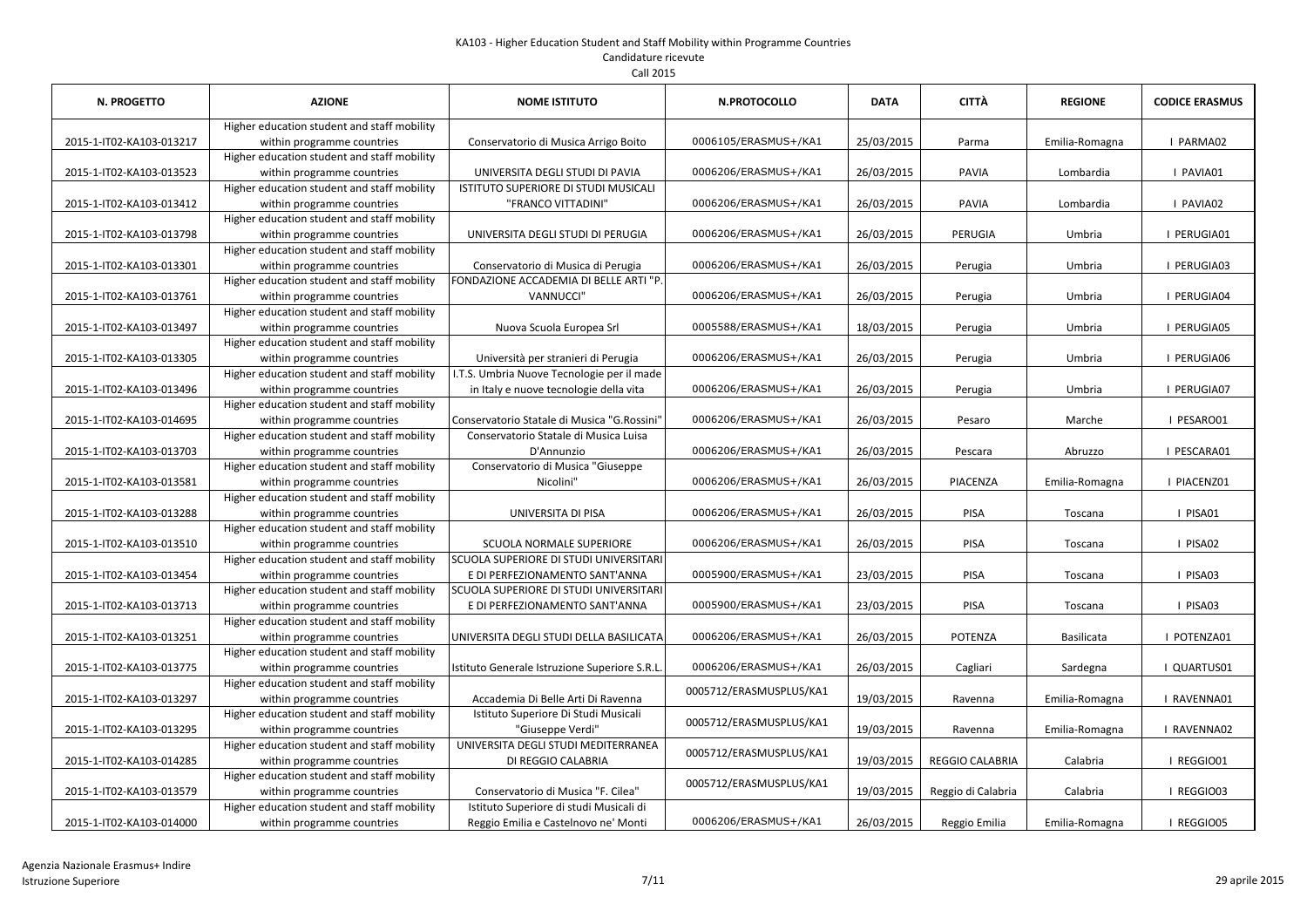| N. PROGETTO              | <b>AZIONE</b>                                                             | <b>NOME ISTITUTO</b>                                                                 | <b>N.PROTOCOLLO</b>     | <b>DATA</b> | <b>CITTÀ</b>       | <b>REGIONE</b>    | <b>CODICE ERASMUS</b> |
|--------------------------|---------------------------------------------------------------------------|--------------------------------------------------------------------------------------|-------------------------|-------------|--------------------|-------------------|-----------------------|
| 2015-1-IT02-KA103-013217 | Higher education student and staff mobility<br>within programme countries | Conservatorio di Musica Arrigo Boito                                                 | 0006105/ERASMUS+/KA1    | 25/03/2015  | Parma              | Emilia-Romagna    | I PARMA02             |
| 2015-1-IT02-KA103-013523 | Higher education student and staff mobility<br>within programme countries | UNIVERSITA DEGLI STUDI DI PAVIA                                                      | 0006206/ERASMUS+/KA1    | 26/03/2015  | PAVIA              | Lombardia         | I PAVIA01             |
| 2015-1-IT02-KA103-013412 | Higher education student and staff mobility<br>within programme countries | ISTITUTO SUPERIORE DI STUDI MUSICALI<br>"FRANCO VITTADINI"                           | 0006206/ERASMUS+/KA1    | 26/03/2015  | PAVIA              | Lombardia         | I PAVIA02             |
| 2015-1-IT02-KA103-013798 | Higher education student and staff mobility<br>within programme countries | UNIVERSITA DEGLI STUDI DI PERUGIA                                                    | 0006206/ERASMUS+/KA1    | 26/03/2015  | PERUGIA            | Umbria            | I PERUGIA01           |
| 2015-1-IT02-KA103-013301 | Higher education student and staff mobility<br>within programme countries | Conservatorio di Musica di Perugia                                                   | 0006206/ERASMUS+/KA1    | 26/03/2015  | Perugia            | Umbria            | I PERUGIA03           |
| 2015-1-IT02-KA103-013761 | Higher education student and staff mobility<br>within programme countries | FONDAZIONE ACCADEMIA DI BELLE ARTI "P<br>VANNUCCI"                                   | 0006206/ERASMUS+/KA1    | 26/03/2015  | Perugia            | Umbria            | I PERUGIA04           |
| 2015-1-IT02-KA103-013497 | Higher education student and staff mobility<br>within programme countries | Nuova Scuola Europea Srl                                                             | 0005588/ERASMUS+/KA1    | 18/03/2015  | Perugia            | Umbria            | I PERUGIA05           |
| 2015-1-IT02-KA103-013305 | Higher education student and staff mobility<br>within programme countries | Università per stranieri di Perugia                                                  | 0006206/ERASMUS+/KA1    | 26/03/2015  | Perugia            | Umbria            | I PERUGIA06           |
| 2015-1-IT02-KA103-013496 | Higher education student and staff mobility<br>within programme countries | I.T.S. Umbria Nuove Tecnologie per il made<br>in Italy e nuove tecnologie della vita | 0006206/ERASMUS+/KA1    | 26/03/2015  | Perugia            | Umbria            | I PERUGIA07           |
| 2015-1-IT02-KA103-014695 | Higher education student and staff mobility<br>within programme countries | Conservatorio Statale di Musica "G.Rossini"                                          | 0006206/ERASMUS+/KA1    | 26/03/2015  | Pesaro             | Marche            | I PESARO01            |
| 2015-1-IT02-KA103-013703 | Higher education student and staff mobility<br>within programme countries | Conservatorio Statale di Musica Luisa<br>D'Annunzio                                  | 0006206/ERASMUS+/KA1    | 26/03/2015  | Pescara            | Abruzzo           | I PESCARA01           |
| 2015-1-IT02-KA103-013581 | Higher education student and staff mobility<br>within programme countries | Conservatorio di Musica "Giuseppe<br>Nicolini"                                       | 0006206/ERASMUS+/KA1    | 26/03/2015  | PIACENZA           | Emilia-Romagna    | I PIACENZ01           |
| 2015-1-IT02-KA103-013288 | Higher education student and staff mobility<br>within programme countries | UNIVERSITA DI PISA                                                                   | 0006206/ERASMUS+/KA1    | 26/03/2015  | PISA               | Toscana           | I PISA01              |
| 2015-1-IT02-KA103-013510 | Higher education student and staff mobility<br>within programme countries | <b>SCUOLA NORMALE SUPERIORE</b>                                                      | 0006206/ERASMUS+/KA1    | 26/03/2015  | <b>PISA</b>        | Toscana           | I PISA02              |
| 2015-1-IT02-KA103-013454 | Higher education student and staff mobility<br>within programme countries | SCUOLA SUPERIORE DI STUDI UNIVERSITARI<br>E DI PERFEZIONAMENTO SANT'ANNA             | 0005900/ERASMUS+/KA1    | 23/03/2015  | PISA               | Toscana           | I PISA03              |
| 2015-1-IT02-KA103-013713 | Higher education student and staff mobility<br>within programme countries | <b>SCUOLA SUPERIORE DI STUDI UNIVERSITARI</b><br>E DI PERFEZIONAMENTO SANT'ANNA      | 0005900/ERASMUS+/KA1    | 23/03/2015  | PISA               | Toscana           | I PISA03              |
| 2015-1-IT02-KA103-013251 | Higher education student and staff mobility<br>within programme countries | UNIVERSITA DEGLI STUDI DELLA BASILICATA                                              | 0006206/ERASMUS+/KA1    | 26/03/2015  | POTENZA            | <b>Basilicata</b> | I POTENZA01           |
| 2015-1-IT02-KA103-013775 | Higher education student and staff mobility<br>within programme countries | Istituto Generale Istruzione Superiore S.R.L                                         | 0006206/ERASMUS+/KA1    | 26/03/2015  | Cagliari           | Sardegna          | QUARTUS01             |
| 2015-1-IT02-KA103-013297 | Higher education student and staff mobility<br>within programme countries | Accademia Di Belle Arti Di Ravenna                                                   | 0005712/ERASMUSPLUS/KA1 | 19/03/2015  | Ravenna            | Emilia-Romagna    | RAVENNA01             |
| 2015-1-IT02-KA103-013295 | Higher education student and staff mobility<br>within programme countries | Istituto Superiore Di Studi Musicali<br>"Giuseppe Verdi"                             | 0005712/ERASMUSPLUS/KA1 | 19/03/2015  | Ravenna            | Emilia-Romagna    | I RAVENNA02           |
| 2015-1-IT02-KA103-014285 | Higher education student and staff mobility<br>within programme countries | UNIVERSITA DEGLI STUDI MEDITERRANEA<br>DI REGGIO CALABRIA                            | 0005712/ERASMUSPLUS/KA1 | 19/03/2015  | REGGIO CALABRIA    | Calabria          | I REGGIO01            |
| 2015-1-IT02-KA103-013579 | Higher education student and staff mobility<br>within programme countries | Conservatorio di Musica "F. Cilea"                                                   | 0005712/ERASMUSPLUS/KA1 | 19/03/2015  | Reggio di Calabria | Calabria          | I REGGIO03            |
| 2015-1-IT02-KA103-014000 | Higher education student and staff mobility<br>within programme countries | Istituto Superiore di studi Musicali di<br>Reggio Emilia e Castelnovo ne' Monti      | 0006206/ERASMUS+/KA1    | 26/03/2015  | Reggio Emilia      | Emilia-Romagna    | I REGGIO05            |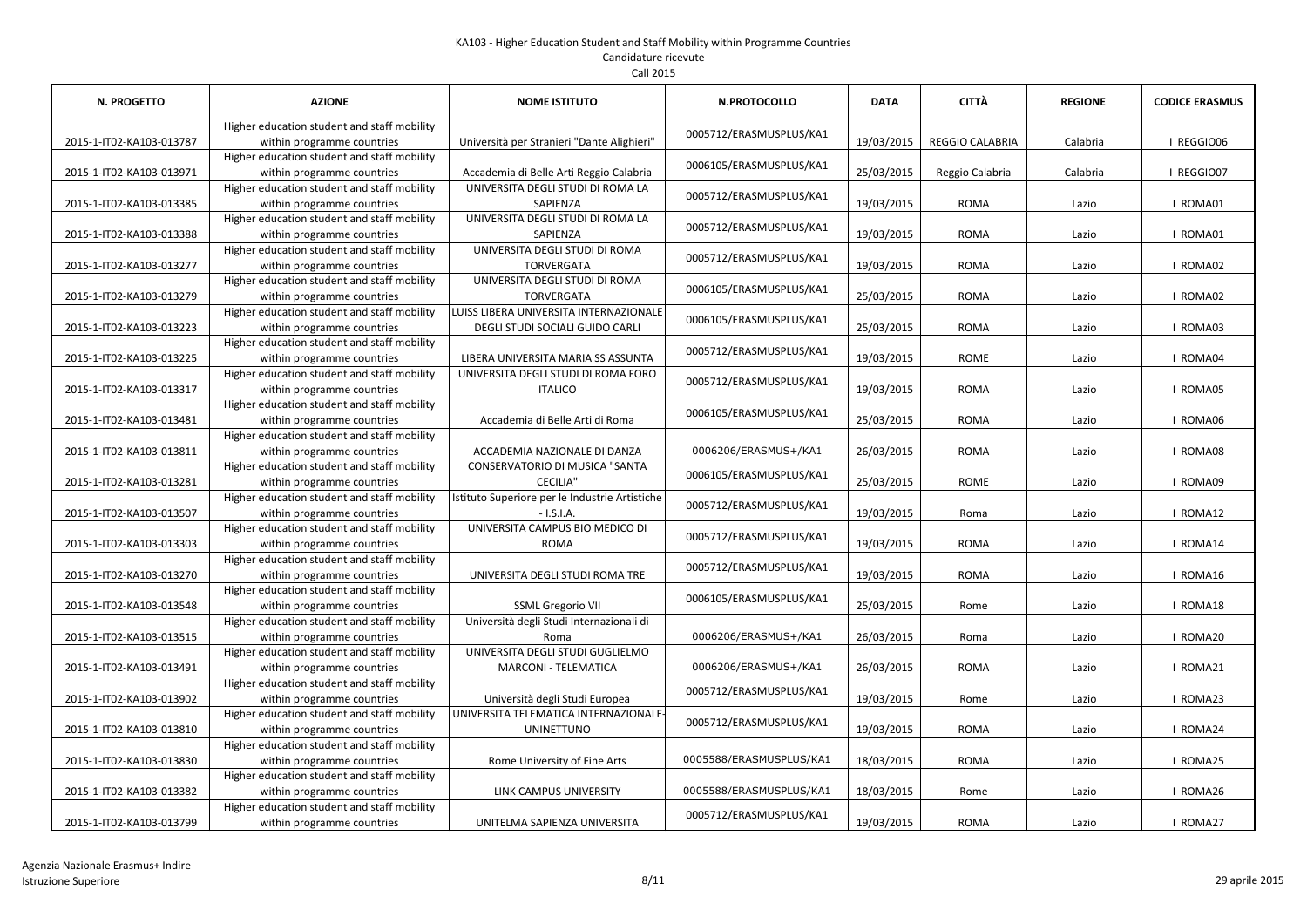| Call 2015     |             |  |  |  |  |  |  |
|---------------|-------------|--|--|--|--|--|--|
| IOME ISTITUTO | N.PRO       |  |  |  |  |  |  |
|               | 0005712/ERA |  |  |  |  |  |  |

| <b>N. PROGETTO</b>       | <b>AZIONE</b>                                                             | <b>NOME ISTITUTO</b>                                                      | N.PROTOCOLLO            | <b>DATA</b> | CITTÀ                  | <b>REGIONE</b> | <b>CODICE ERASMUS</b> |
|--------------------------|---------------------------------------------------------------------------|---------------------------------------------------------------------------|-------------------------|-------------|------------------------|----------------|-----------------------|
| 2015-1-IT02-KA103-013787 | Higher education student and staff mobility<br>within programme countries | Università per Stranieri "Dante Alighieri"                                | 0005712/ERASMUSPLUS/KA1 | 19/03/2015  | <b>REGGIO CALABRIA</b> | Calabria       | I REGGIO06            |
| 2015-1-IT02-KA103-013971 | Higher education student and staff mobility<br>within programme countries | Accademia di Belle Arti Reggio Calabria                                   | 0006105/ERASMUSPLUS/KA1 | 25/03/2015  | Reggio Calabria        | Calabria       | I REGGIO07            |
| 2015-1-IT02-KA103-013385 | Higher education student and staff mobility<br>within programme countries | UNIVERSITA DEGLI STUDI DI ROMA LA<br>SAPIENZA                             | 0005712/ERASMUSPLUS/KA1 | 19/03/2015  | <b>ROMA</b>            | Lazio          | I ROMA01              |
| 2015-1-IT02-KA103-013388 | Higher education student and staff mobility<br>within programme countries | UNIVERSITA DEGLI STUDI DI ROMA LA<br>SAPIENZA                             | 0005712/ERASMUSPLUS/KA1 | 19/03/2015  | <b>ROMA</b>            | Lazio          | I ROMA01              |
| 2015-1-IT02-KA103-013277 | Higher education student and staff mobility<br>within programme countries | UNIVERSITA DEGLI STUDI DI ROMA<br><b>TORVERGATA</b>                       | 0005712/ERASMUSPLUS/KA1 | 19/03/2015  | <b>ROMA</b>            | Lazio          | I ROMA02              |
| 2015-1-IT02-KA103-013279 | Higher education student and staff mobility<br>within programme countries | UNIVERSITA DEGLI STUDI DI ROMA<br><b>TORVERGATA</b>                       | 0006105/ERASMUSPLUS/KA1 | 25/03/2015  | <b>ROMA</b>            | Lazio          | I ROMA02              |
| 2015-1-IT02-KA103-013223 | Higher education student and staff mobility<br>within programme countries | LUISS LIBERA UNIVERSITA INTERNAZIONALE<br>DEGLI STUDI SOCIALI GUIDO CARLI | 0006105/ERASMUSPLUS/KA1 | 25/03/2015  | <b>ROMA</b>            | Lazio          | I ROMA03              |
| 2015-1-IT02-KA103-013225 | Higher education student and staff mobility<br>within programme countries | LIBERA UNIVERSITA MARIA SS ASSUNTA                                        | 0005712/ERASMUSPLUS/KA1 | 19/03/2015  | <b>ROME</b>            | Lazio          | I ROMA04              |
| 2015-1-IT02-KA103-013317 | Higher education student and staff mobility<br>within programme countries | UNIVERSITA DEGLI STUDI DI ROMA FORO<br><b>ITALICO</b>                     | 0005712/ERASMUSPLUS/KA1 | 19/03/2015  | <b>ROMA</b>            | Lazio          | I ROMA05              |
| 2015-1-IT02-KA103-013481 | Higher education student and staff mobility<br>within programme countries | Accademia di Belle Arti di Roma                                           | 0006105/ERASMUSPLUS/KA1 | 25/03/2015  | <b>ROMA</b>            | Lazio          | I ROMA06              |
| 2015-1-IT02-KA103-013811 | Higher education student and staff mobility<br>within programme countries | ACCADEMIA NAZIONALE DI DANZA                                              | 0006206/ERASMUS+/KA1    | 26/03/2015  | <b>ROMA</b>            | Lazio          | I ROMA08              |
| 2015-1-IT02-KA103-013281 | Higher education student and staff mobility<br>within programme countries | CONSERVATORIO DI MUSICA "SANTA<br><b>CECILIA"</b>                         | 0006105/ERASMUSPLUS/KA1 | 25/03/2015  | <b>ROME</b>            | Lazio          | I ROMA09              |
| 2015-1-IT02-KA103-013507 | Higher education student and staff mobility<br>within programme countries | Istituto Superiore per le Industrie Artistiche<br>$-$ I.S.I.A.            | 0005712/ERASMUSPLUS/KA1 | 19/03/2015  | Roma                   | Lazio          | I ROMA12              |
| 2015-1-IT02-KA103-013303 | Higher education student and staff mobility<br>within programme countries | UNIVERSITA CAMPUS BIO MEDICO DI<br><b>ROMA</b>                            | 0005712/ERASMUSPLUS/KA1 | 19/03/2015  | <b>ROMA</b>            | Lazio          | I ROMA14              |
| 2015-1-IT02-KA103-013270 | Higher education student and staff mobility<br>within programme countries | UNIVERSITA DEGLI STUDI ROMA TRE                                           | 0005712/ERASMUSPLUS/KA1 | 19/03/2015  | <b>ROMA</b>            | Lazio          | I ROMA16              |
| 2015-1-IT02-KA103-013548 | Higher education student and staff mobility<br>within programme countries | <b>SSML Gregorio VII</b>                                                  | 0006105/ERASMUSPLUS/KA1 | 25/03/2015  | Rome                   | Lazio          | I ROMA18              |
| 2015-1-IT02-KA103-013515 | Higher education student and staff mobility<br>within programme countries | Università degli Studi Internazionali di<br>Roma                          | 0006206/ERASMUS+/KA1    | 26/03/2015  | Roma                   | Lazio          | I ROMA20              |
| 2015-1-IT02-KA103-013491 | Higher education student and staff mobility<br>within programme countries | UNIVERSITA DEGLI STUDI GUGLIELMO<br><b>MARCONI - TELEMATICA</b>           | 0006206/ERASMUS+/KA1    | 26/03/2015  | <b>ROMA</b>            | Lazio          | I ROMA21              |
| 2015-1-IT02-KA103-013902 | Higher education student and staff mobility<br>within programme countries | Università degli Studi Europea                                            | 0005712/ERASMUSPLUS/KA1 | 19/03/2015  | Rome                   | Lazio          | I ROMA23              |
| 2015-1-IT02-KA103-013810 | Higher education student and staff mobility<br>within programme countries | UNIVERSITA TELEMATICA INTERNAZIONALE<br><b>UNINETTUNO</b>                 | 0005712/ERASMUSPLUS/KA1 | 19/03/2015  | <b>ROMA</b>            | Lazio          | I ROMA24              |
| 2015-1-IT02-KA103-013830 | Higher education student and staff mobility<br>within programme countries | Rome University of Fine Arts                                              | 0005588/ERASMUSPLUS/KA1 | 18/03/2015  | <b>ROMA</b>            | Lazio          | I ROMA25              |
| 2015-1-IT02-KA103-013382 | Higher education student and staff mobility<br>within programme countries | LINK CAMPUS UNIVERSITY                                                    | 0005588/ERASMUSPLUS/KA1 | 18/03/2015  | Rome                   | Lazio          | I ROMA26              |
| 2015-1-IT02-KA103-013799 | Higher education student and staff mobility<br>within programme countries | UNITELMA SAPIENZA UNIVERSITA                                              | 0005712/ERASMUSPLUS/KA1 | 19/03/2015  | <b>ROMA</b>            | Lazio          | I ROMA27              |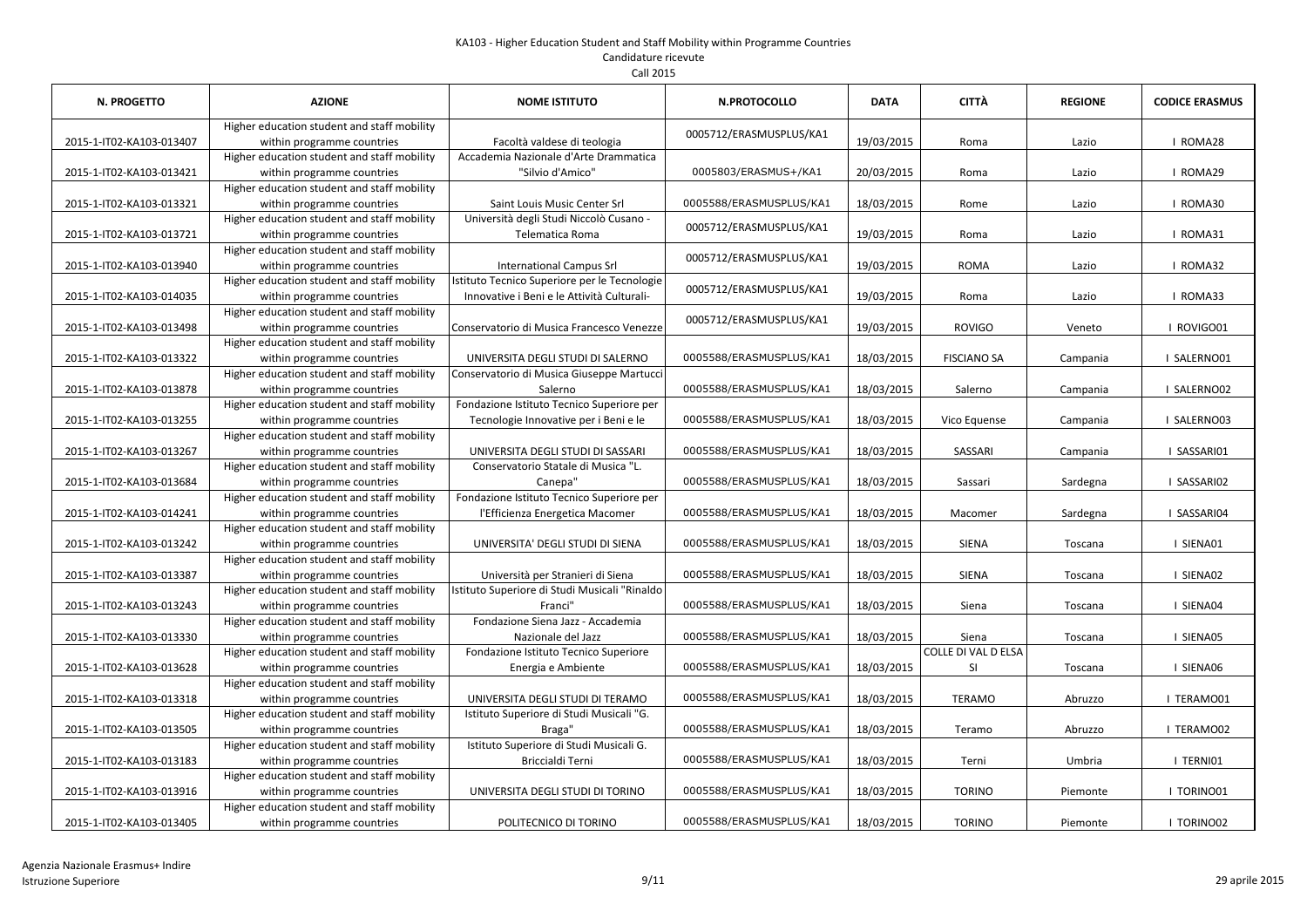|  | Call 2015 |
|--|-----------|
|--|-----------|

| N. PROGETTO              | <b>AZIONE</b>                                                             | <b>NOME ISTITUTO</b>                                                                       | <b>N.PROTOCOLLO</b>     | <b>DATA</b> | <b>CITTÀ</b>                     | <b>REGIONE</b> | <b>CODICE ERASMUS</b> |
|--------------------------|---------------------------------------------------------------------------|--------------------------------------------------------------------------------------------|-------------------------|-------------|----------------------------------|----------------|-----------------------|
| 2015-1-IT02-KA103-013407 | Higher education student and staff mobility<br>within programme countries | Facoltà valdese di teologia                                                                | 0005712/ERASMUSPLUS/KA1 | 19/03/2015  | Roma                             | Lazio          | I ROMA28              |
| 2015-1-IT02-KA103-013421 | Higher education student and staff mobility<br>within programme countries | Accademia Nazionale d'Arte Drammatica<br>"Silvio d'Amico"                                  | 0005803/ERASMUS+/KA1    | 20/03/2015  | Roma                             | Lazio          | I ROMA29              |
| 2015-1-IT02-KA103-013321 | Higher education student and staff mobility<br>within programme countries | Saint Louis Music Center Srl                                                               | 0005588/ERASMUSPLUS/KA1 | 18/03/2015  | Rome                             | Lazio          | I ROMA30              |
| 2015-1-IT02-KA103-013721 | Higher education student and staff mobility<br>within programme countries | Università degli Studi Niccolò Cusano -<br>Telematica Roma                                 | 0005712/ERASMUSPLUS/KA1 | 19/03/2015  | Roma                             | Lazio          | I ROMA31              |
| 2015-1-IT02-KA103-013940 | Higher education student and staff mobility<br>within programme countries | <b>International Campus Srl</b>                                                            | 0005712/ERASMUSPLUS/KA1 | 19/03/2015  | <b>ROMA</b>                      | Lazio          | I ROMA32              |
| 2015-1-IT02-KA103-014035 | Higher education student and staff mobility<br>within programme countries | Istituto Tecnico Superiore per le Tecnologie<br>Innovative i Beni e le Attività Culturali- | 0005712/ERASMUSPLUS/KA1 | 19/03/2015  | Roma                             | Lazio          | I ROMA33              |
| 2015-1-IT02-KA103-013498 | Higher education student and staff mobility<br>within programme countries | Conservatorio di Musica Francesco Venezze                                                  | 0005712/ERASMUSPLUS/KA1 | 19/03/2015  | <b>ROVIGO</b>                    | Veneto         | I ROVIGO01            |
| 2015-1-IT02-KA103-013322 | Higher education student and staff mobility<br>within programme countries | UNIVERSITA DEGLI STUDI DI SALERNO                                                          | 0005588/ERASMUSPLUS/KA1 | 18/03/2015  | <b>FISCIANO SA</b>               | Campania       | I SALERNO01           |
| 2015-1-IT02-KA103-013878 | Higher education student and staff mobility<br>within programme countries | Conservatorio di Musica Giuseppe Martucci<br>Salerno                                       | 0005588/ERASMUSPLUS/KA1 | 18/03/2015  | Salerno                          | Campania       | I SALERNO02           |
| 2015-1-IT02-KA103-013255 | Higher education student and staff mobility<br>within programme countries | Fondazione Istituto Tecnico Superiore per<br>Tecnologie Innovative per i Beni e le         | 0005588/ERASMUSPLUS/KA1 | 18/03/2015  | Vico Equense                     | Campania       | I SALERNO03           |
| 2015-1-IT02-KA103-013267 | Higher education student and staff mobility<br>within programme countries | UNIVERSITA DEGLI STUDI DI SASSARI                                                          | 0005588/ERASMUSPLUS/KA1 | 18/03/2015  | SASSARI                          | Campania       | I SASSARI01           |
| 2015-1-IT02-KA103-013684 | Higher education student and staff mobility<br>within programme countries | Conservatorio Statale di Musica "L.<br>Canepa"                                             | 0005588/ERASMUSPLUS/KA1 | 18/03/2015  | Sassari                          | Sardegna       | I SASSARIO2           |
| 2015-1-IT02-KA103-014241 | Higher education student and staff mobility<br>within programme countries | Fondazione Istituto Tecnico Superiore per<br>l'Efficienza Energetica Macomer               | 0005588/ERASMUSPLUS/KA1 | 18/03/2015  | Macomer                          | Sardegna       | I SASSARI04           |
| 2015-1-IT02-KA103-013242 | Higher education student and staff mobility<br>within programme countries | UNIVERSITA' DEGLI STUDI DI SIENA                                                           | 0005588/ERASMUSPLUS/KA1 | 18/03/2015  | <b>SIENA</b>                     | Toscana        | I SIENA01             |
| 2015-1-IT02-KA103-013387 | Higher education student and staff mobility<br>within programme countries | Università per Stranieri di Siena                                                          | 0005588/ERASMUSPLUS/KA1 | 18/03/2015  | SIENA                            | Toscana        | I SIENA02             |
| 2015-1-IT02-KA103-013243 | Higher education student and staff mobility<br>within programme countries | Istituto Superiore di Studi Musicali "Rinaldo<br>Franci"                                   | 0005588/ERASMUSPLUS/KA1 | 18/03/2015  | Siena                            | Toscana        | I SIENA04             |
| 2015-1-IT02-KA103-013330 | Higher education student and staff mobility<br>within programme countries | Fondazione Siena Jazz - Accademia<br>Nazionale del Jazz                                    | 0005588/ERASMUSPLUS/KA1 | 18/03/2015  | Siena                            | Toscana        | I SIENA05             |
| 2015-1-IT02-KA103-013628 | Higher education student and staff mobility<br>within programme countries | Fondazione Istituto Tecnico Superiore<br>Energia e Ambiente                                | 0005588/ERASMUSPLUS/KA1 | 18/03/2015  | <b>COLLE DI VAL D ELSA</b><br>SI | Toscana        | I SIENA06             |
| 2015-1-IT02-KA103-013318 | Higher education student and staff mobility<br>within programme countries | UNIVERSITA DEGLI STUDI DI TERAMO                                                           | 0005588/ERASMUSPLUS/KA1 | 18/03/2015  | <b>TERAMO</b>                    | Abruzzo        | TERAMO01              |
| 2015-1-IT02-KA103-013505 | Higher education student and staff mobility<br>within programme countries | Istituto Superiore di Studi Musicali "G.<br>Braga"                                         | 0005588/ERASMUSPLUS/KA1 | 18/03/2015  | Teramo                           | Abruzzo        | I TERAMO02            |
| 2015-1-IT02-KA103-013183 | Higher education student and staff mobility<br>within programme countries | Istituto Superiore di Studi Musicali G.<br>Briccialdi Terni                                | 0005588/ERASMUSPLUS/KA1 | 18/03/2015  | Terni                            | Umbria         | I TERNI01             |
| 2015-1-IT02-KA103-013916 | Higher education student and staff mobility<br>within programme countries | UNIVERSITA DEGLI STUDI DI TORINO                                                           | 0005588/ERASMUSPLUS/KA1 | 18/03/2015  | <b>TORINO</b>                    | Piemonte       | TORINO01              |
| 2015-1-IT02-KA103-013405 | Higher education student and staff mobility<br>within programme countries | POLITECNICO DI TORINO                                                                      | 0005588/ERASMUSPLUS/KA1 | 18/03/2015  | <b>TORINO</b>                    | Piemonte       | I TORINO02            |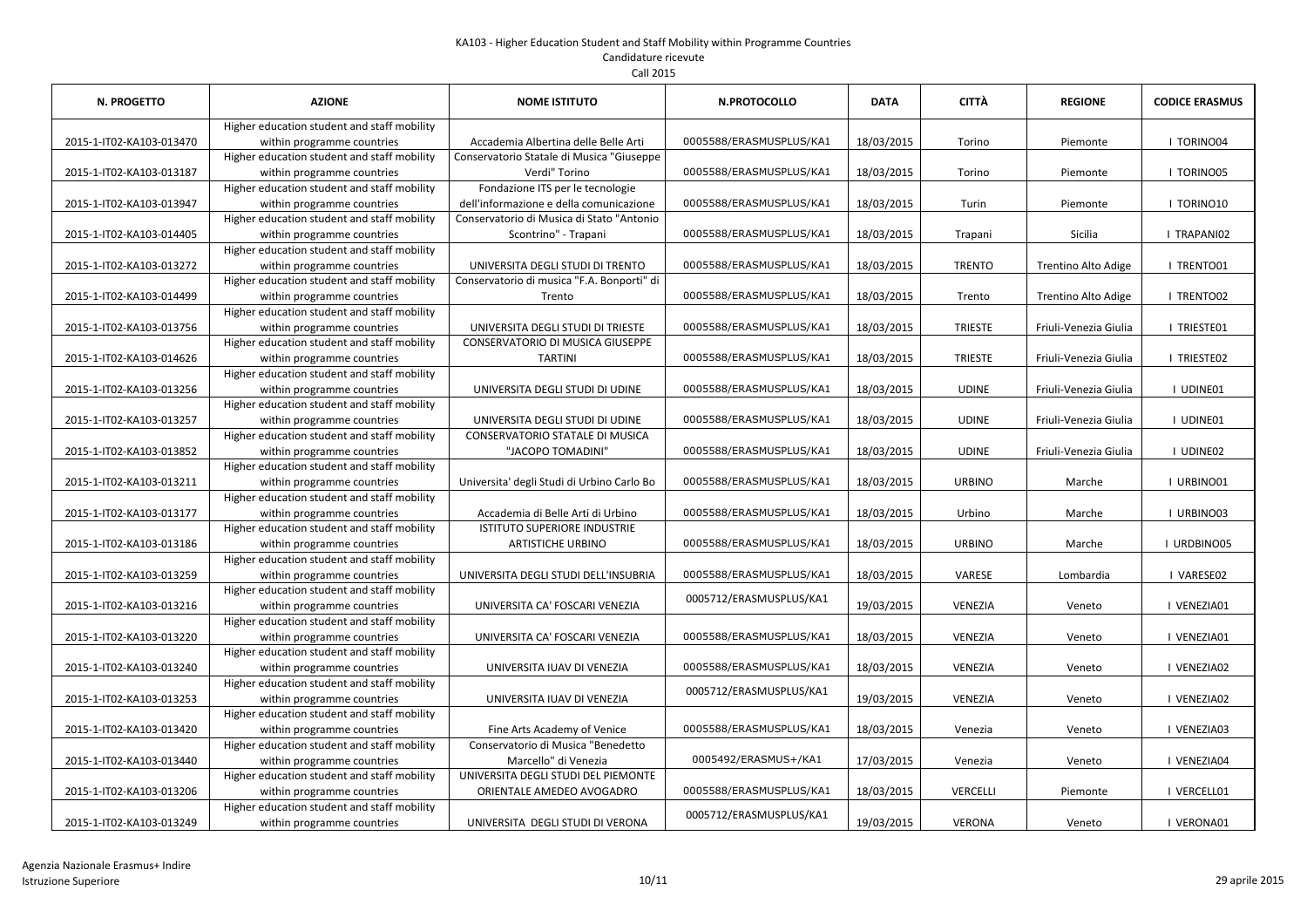# Candidature ricevute

Call 2015

| <b>N. PROGETTO</b>       | <b>AZIONE</b>                                                             | <b>NOME ISTITUTO</b>                                                        | <b>N.PROTOCOLLO</b>     | <b>DATA</b> | CITTÀ           | <b>REGIONE</b>        | <b>CODICE ERASMUS</b> |
|--------------------------|---------------------------------------------------------------------------|-----------------------------------------------------------------------------|-------------------------|-------------|-----------------|-----------------------|-----------------------|
| 2015-1-IT02-KA103-013470 | Higher education student and staff mobility<br>within programme countries | Accademia Albertina delle Belle Arti                                        | 0005588/ERASMUSPLUS/KA1 | 18/03/2015  | Torino          | Piemonte              | I TORINO04            |
| 2015-1-IT02-KA103-013187 | Higher education student and staff mobility<br>within programme countries | Conservatorio Statale di Musica "Giuseppe<br>Verdi" Torino                  | 0005588/ERASMUSPLUS/KA1 | 18/03/2015  | Torino          | Piemonte              | I TORINO05            |
| 2015-1-IT02-KA103-013947 | Higher education student and staff mobility<br>within programme countries | Fondazione ITS per le tecnologie<br>dell'informazione e della comunicazione | 0005588/ERASMUSPLUS/KA1 | 18/03/2015  | Turin           | Piemonte              | I TORINO10            |
| 2015-1-IT02-KA103-014405 | Higher education student and staff mobility<br>within programme countries | Conservatorio di Musica di Stato "Antonio<br>Scontrino" - Trapani           | 0005588/ERASMUSPLUS/KA1 | 18/03/2015  | Trapani         | Sicilia               | I TRAPANI02           |
| 2015-1-IT02-KA103-013272 | Higher education student and staff mobility<br>within programme countries | UNIVERSITA DEGLI STUDI DI TRENTO                                            | 0005588/ERASMUSPLUS/KA1 | 18/03/2015  | <b>TRENTO</b>   | Trentino Alto Adige   | I TRENTO01            |
| 2015-1-IT02-KA103-014499 | Higher education student and staff mobility<br>within programme countries | Conservatorio di musica "F.A. Bonporti" di<br>Trento                        | 0005588/ERASMUSPLUS/KA1 | 18/03/2015  | Trento          | Trentino Alto Adige   | I TRENTO02            |
| 2015-1-IT02-KA103-013756 | Higher education student and staff mobility<br>within programme countries | UNIVERSITA DEGLI STUDI DI TRIESTE                                           | 0005588/ERASMUSPLUS/KA1 | 18/03/2015  | <b>TRIESTE</b>  | Friuli-Venezia Giulia | I TRIESTE01           |
| 2015-1-IT02-KA103-014626 | Higher education student and staff mobility<br>within programme countries | <b>CONSERVATORIO DI MUSICA GIUSEPPE</b><br><b>TARTINI</b>                   | 0005588/ERASMUSPLUS/KA1 | 18/03/2015  | <b>TRIESTE</b>  | Friuli-Venezia Giulia | I TRIESTE02           |
| 2015-1-IT02-KA103-013256 | Higher education student and staff mobility<br>within programme countries | UNIVERSITA DEGLI STUDI DI UDINE                                             | 0005588/ERASMUSPLUS/KA1 | 18/03/2015  | <b>UDINE</b>    | Friuli-Venezia Giulia | I UDINE01             |
| 2015-1-IT02-KA103-013257 | Higher education student and staff mobility<br>within programme countries | UNIVERSITA DEGLI STUDI DI UDINE                                             | 0005588/ERASMUSPLUS/KA1 | 18/03/2015  | <b>UDINE</b>    | Friuli-Venezia Giulia | I UDINE01             |
| 2015-1-IT02-KA103-013852 | Higher education student and staff mobility<br>within programme countries | <b>CONSERVATORIO STATALE DI MUSICA</b><br>"JACOPO TOMADINI"                 | 0005588/ERASMUSPLUS/KA1 | 18/03/2015  | <b>UDINE</b>    | Friuli-Venezia Giulia | I UDINE02             |
| 2015-1-IT02-KA103-013211 | Higher education student and staff mobility<br>within programme countries | Universita' degli Studi di Urbino Carlo Bo                                  | 0005588/ERASMUSPLUS/KA1 | 18/03/2015  | <b>URBINO</b>   | Marche                | I URBINO01            |
| 2015-1-IT02-KA103-013177 | Higher education student and staff mobility<br>within programme countries | Accademia di Belle Arti di Urbino                                           | 0005588/ERASMUSPLUS/KA1 | 18/03/2015  | Urbino          | Marche                | I URBINO03            |
| 2015-1-IT02-KA103-013186 | Higher education student and staff mobility<br>within programme countries | <b>ISTITUTO SUPERIORE INDUSTRIE</b><br><b>ARTISTICHE URBINO</b>             | 0005588/ERASMUSPLUS/KA1 | 18/03/2015  | <b>URBINO</b>   | Marche                | I URDBINO05           |
| 2015-1-IT02-KA103-013259 | Higher education student and staff mobility<br>within programme countries | UNIVERSITA DEGLI STUDI DELL'INSUBRIA                                        | 0005588/ERASMUSPLUS/KA1 | 18/03/2015  | VARESE          | Lombardia             | VARESE02              |
| 2015-1-IT02-KA103-013216 | Higher education student and staff mobility<br>within programme countries | UNIVERSITA CA' FOSCARI VENEZIA                                              | 0005712/ERASMUSPLUS/KA1 | 19/03/2015  | VENEZIA         | Veneto                | I VENEZIA01           |
| 2015-1-IT02-KA103-013220 | Higher education student and staff mobility<br>within programme countries | UNIVERSITA CA' FOSCARI VENEZIA                                              | 0005588/ERASMUSPLUS/KA1 | 18/03/2015  | VENEZIA         | Veneto                | I VENEZIA01           |
| 2015-1-IT02-KA103-013240 | Higher education student and staff mobility<br>within programme countries | UNIVERSITA IUAV DI VENEZIA                                                  | 0005588/ERASMUSPLUS/KA1 | 18/03/2015  | VENEZIA         | Veneto                | VENEZIA02             |
| 2015-1-IT02-KA103-013253 | Higher education student and staff mobility<br>within programme countries | UNIVERSITA IUAV DI VENEZIA                                                  | 0005712/ERASMUSPLUS/KA1 | 19/03/2015  | VENEZIA         | Veneto                | I VENEZIA02           |
| 2015-1-IT02-KA103-013420 | Higher education student and staff mobility<br>within programme countries | Fine Arts Academy of Venice                                                 | 0005588/ERASMUSPLUS/KA1 | 18/03/2015  | Venezia         | Veneto                | I VENEZIA03           |
| 2015-1-IT02-KA103-013440 | Higher education student and staff mobility<br>within programme countries | Conservatorio di Musica "Benedetto<br>Marcello" di Venezia                  | 0005492/ERASMUS+/KA1    | 17/03/2015  | Venezia         | Veneto                | I VENEZIA04           |
| 2015-1-IT02-KA103-013206 | Higher education student and staff mobility<br>within programme countries | UNIVERSITA DEGLI STUDI DEL PIEMONTE<br>ORIENTALE AMEDEO AVOGADRO            | 0005588/ERASMUSPLUS/KA1 | 18/03/2015  | <b>VERCELLI</b> | Piemonte              | I VERCELL01           |
| 2015-1-IT02-KA103-013249 | Higher education student and staff mobility<br>within programme countries | UNIVERSITA DEGLI STUDI DI VERONA                                            | 0005712/ERASMUSPLUS/KA1 | 19/03/2015  | <b>VERONA</b>   | Veneto                | I VERONA01            |